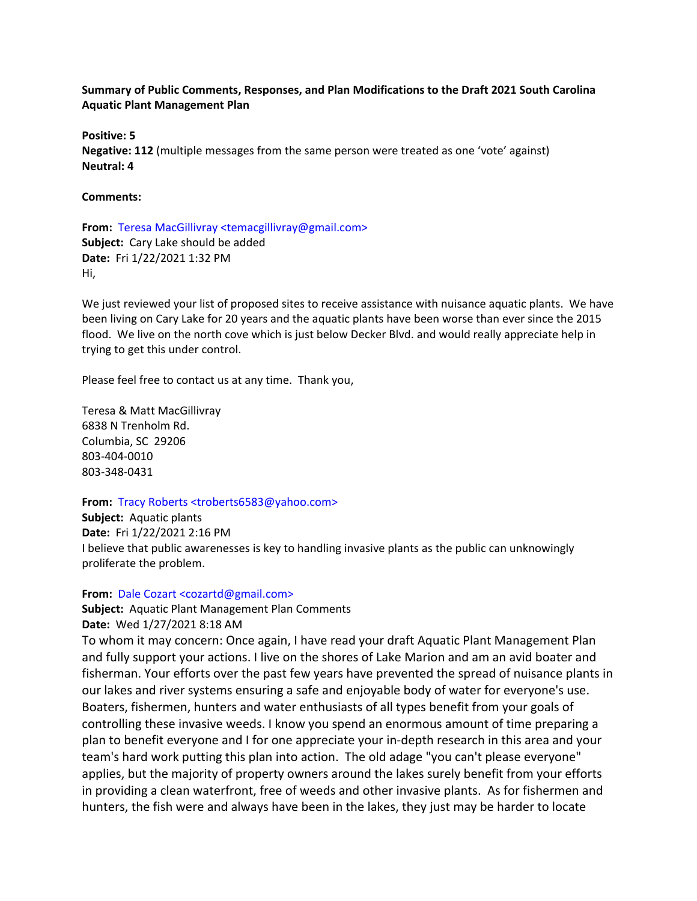**Summary of Public Comments, Responses, and Plan Modifications to the Draft 2021 South Carolina Aquatic Plant Management Plan**

**Positive: 5 Negative: 112** (multiple messages from the same person were treated as one 'vote' against) **Neutral: 4**

**Comments:**

**From:** Teresa MacGillivray <temacgillivray@gmail.com> **Subject:** Cary Lake should be added **Date:** Fri 1/22/2021 1:32 PM Hi,

We just reviewed your list of proposed sites to receive assistance with nuisance aquatic plants. We have been living on Cary Lake for 20 years and the aquatic plants have been worse than ever since the 2015 flood. We live on the north cove which is just below Decker Blvd. and would really appreciate help in trying to get this under control.

Please feel free to contact us at any time. Thank you,

Teresa & Matt MacGillivray 6838 N Trenholm Rd. Columbia, SC 29206 803-404-0010 803-348-0431

**From:** Tracy Roberts <troberts6583@yahoo.com>

**Subject:** Aquatic plants **Date:** Fri 1/22/2021 2:16 PM I believe that public awarenesses is key to handling invasive plants as the public can unknowingly proliferate the problem.

From: Dale Cozart <cozartd@gmail.com>

**Subject:** Aquatic Plant Management Plan Comments **Date:** Wed 1/27/2021 8:18 AM

To whom it may concern: Once again, I have read your draft Aquatic Plant Management Plan and fully support your actions. I live on the shores of Lake Marion and am an avid boater and fisherman. Your efforts over the past few years have prevented the spread of nuisance plants in our lakes and river systems ensuring a safe and enjoyable body of water for everyone's use. Boaters, fishermen, hunters and water enthusiasts of all types benefit from your goals of controlling these invasive weeds. I know you spend an enormous amount of time preparing a plan to benefit everyone and I for one appreciate your in-depth research in this area and your team's hard work putting this plan into action. The old adage "you can't please everyone" applies, but the majority of property owners around the lakes surely benefit from your efforts in providing a clean waterfront, free of weeds and other invasive plants. As for fishermen and hunters, the fish were and always have been in the lakes, they just may be harder to locate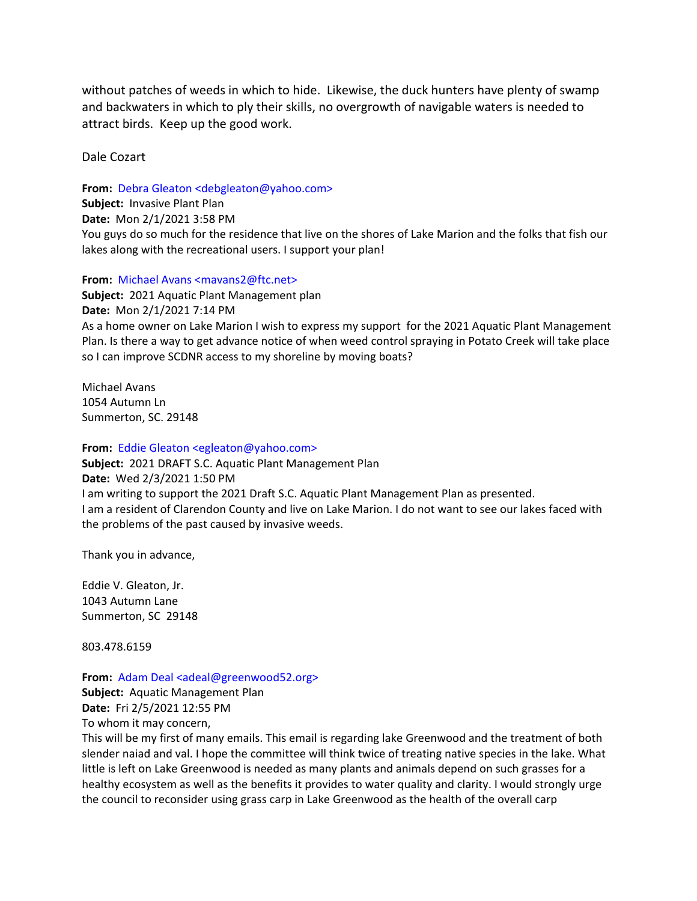without patches of weeds in which to hide. Likewise, the duck hunters have plenty of swamp and backwaters in which to ply their skills, no overgrowth of navigable waters is needed to attract birds. Keep up the good work.

Dale Cozart

**From:** Debra Gleaton <debgleaton@yahoo.com> **Subject:** Invasive Plant Plan **Date:** Mon 2/1/2021 3:58 PM You guys do so much for the residence that live on the shores of Lake Marion and the folks that fish our lakes along with the recreational users. I support your plan!

From: Michael Avans <mavans2@ftc.net>

**Subject:** 2021 Aquatic Plant Management plan **Date:** Mon 2/1/2021 7:14 PM As a home owner on Lake Marion I wish to express my support for the 2021 Aquatic Plant Management Plan. Is there a way to get advance notice of when weed control spraying in Potato Creek will take place so I can improve SCDNR access to my shoreline by moving boats?

Michael Avans 1054 Autumn Ln Summerton, SC. 29148

**From:** Eddie Gleaton <egleaton@yahoo.com> **Subject:** 2021 DRAFT S.C. Aquatic Plant Management Plan **Date:** Wed 2/3/2021 1:50 PM I am writing to support the 2021 Draft S.C. Aquatic Plant Management Plan as presented. I am a resident of Clarendon County and live on Lake Marion. I do not want to see our lakes faced with the problems of the past caused by invasive weeds.

Thank you in advance,

Eddie V. Gleaton, Jr. 1043 Autumn Lane Summerton, SC 29148

803.478.6159

**From:** Adam Deal <adeal@greenwood52.org>

**Subject:** Aquatic Management Plan **Date:** Fri 2/5/2021 12:55 PM To whom it may concern,

This will be my first of many emails. This email is regarding lake Greenwood and the treatment of both slender naiad and val. I hope the committee will think twice of treating native species in the lake. What little is left on Lake Greenwood is needed as many plants and animals depend on such grasses for a healthy ecosystem as well as the benefits it provides to water quality and clarity. I would strongly urge the council to reconsider using grass carp in Lake Greenwood as the health of the overall carp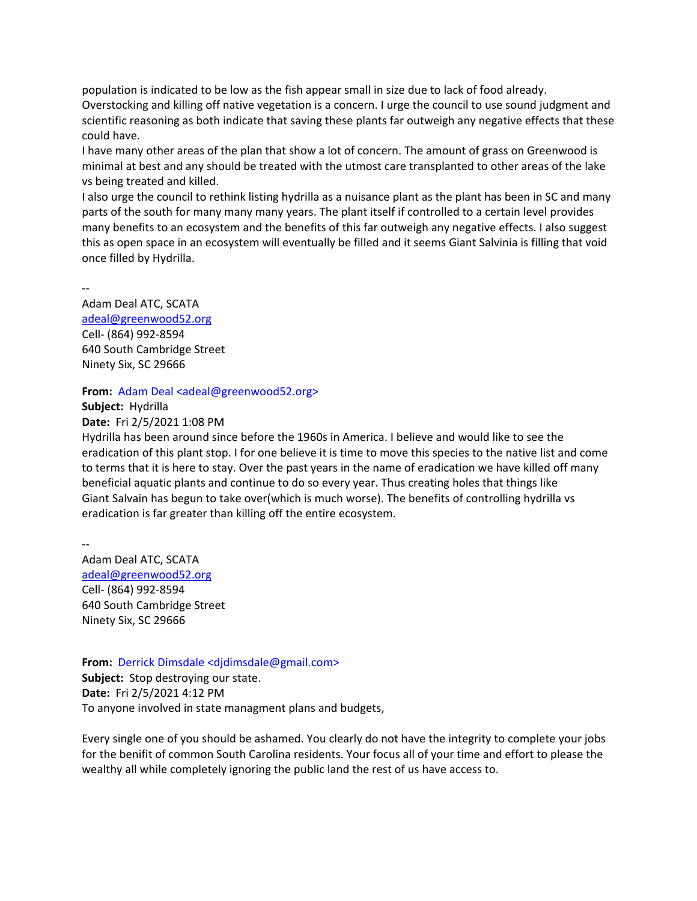population is indicated to be low as the fish appear small in size due to lack of food already. Overstocking and killing off native vegetation is a concern. I urge the council to use sound judgment and scientific reasoning as both indicate that saving these plants far outweigh any negative effects that these could have.

I have many other areas of the plan that show a lot of concern. The amount of grass on Greenwood is minimal at best and any should be treated with the utmost care transplanted to other areas of the lake vs being treated and killed.

I also urge the council to rethink listing hydrilla as a nuisance plant as the plant has been in SC and many parts of the south for many many many years. The plant itself if controlled to a certain level provides many benefits to an ecosystem and the benefits of this far outweigh any negative effects. I also suggest this as open space in an ecosystem will eventually be filled and it seems Giant Salvinia is filling that void once filled by Hydrilla.

--

Adam Deal ATC, SCATA [adeal@greenwood52.org](mailto:adeal@greenwood52.org) Cell- (864) 992-8594 640 South Cambridge Street Ninety Six, SC 29666

**From:** Adam Deal <adeal@greenwood52.org> **Subject:** Hydrilla

**Date:** Fri 2/5/2021 1:08 PM

Hydrilla has been around since before the 1960s in America. I believe and would like to see the eradication of this plant stop. I for one believe it is time to move this species to the native list and come to terms that it is here to stay. Over the past years in the name of eradication we have killed off many beneficial aquatic plants and continue to do so every year. Thus creating holes that things like Giant Salvain has begun to take over(which is much worse). The benefits of controlling hydrilla vs eradication is far greater than killing off the entire ecosystem.

-- Adam Deal ATC, SCATA [adeal@greenwood52.org](mailto:adeal@greenwood52.org) Cell- (864) 992-8594 640 South Cambridge Street Ninety Six, SC 29666

**From:** Derrick Dimsdale <djdimsdale@gmail.com>

**Subject:** Stop destroying our state. **Date:** Fri 2/5/2021 4:12 PM To anyone involved in state managment plans and budgets,

Every single one of you should be ashamed. You clearly do not have the integrity to complete your jobs for the benifit of common South Carolina residents. Your focus all of your time and effort to please the wealthy all while completely ignoring the public land the rest of us have access to.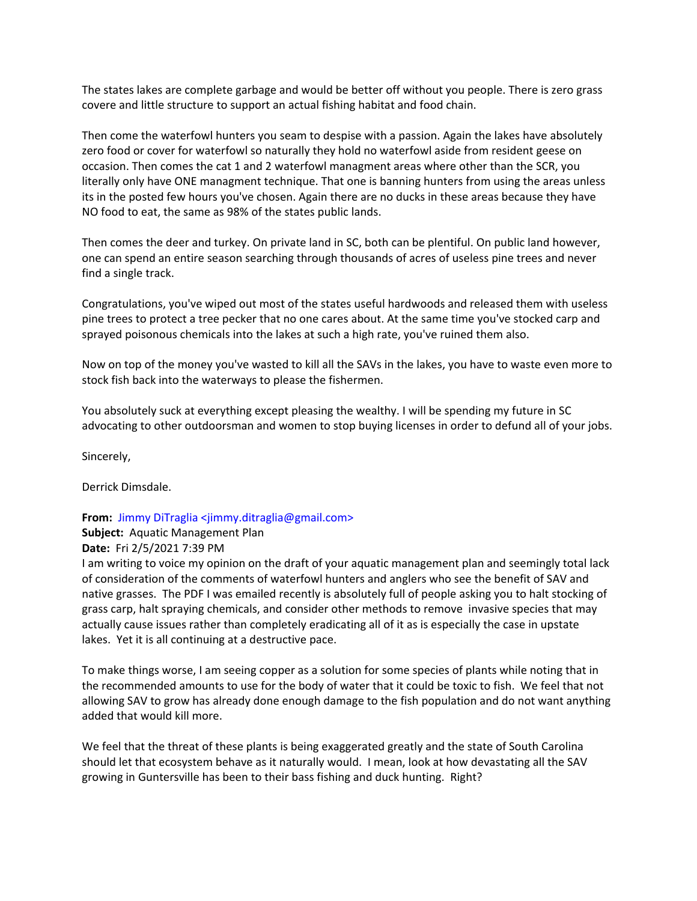The states lakes are complete garbage and would be better off without you people. There is zero grass covere and little structure to support an actual fishing habitat and food chain.

Then come the waterfowl hunters you seam to despise with a passion. Again the lakes have absolutely zero food or cover for waterfowl so naturally they hold no waterfowl aside from resident geese on occasion. Then comes the cat 1 and 2 waterfowl managment areas where other than the SCR, you literally only have ONE managment technique. That one is banning hunters from using the areas unless its in the posted few hours you've chosen. Again there are no ducks in these areas because they have NO food to eat, the same as 98% of the states public lands.

Then comes the deer and turkey. On private land in SC, both can be plentiful. On public land however, one can spend an entire season searching through thousands of acres of useless pine trees and never find a single track.

Congratulations, you've wiped out most of the states useful hardwoods and released them with useless pine trees to protect a tree pecker that no one cares about. At the same time you've stocked carp and sprayed poisonous chemicals into the lakes at such a high rate, you've ruined them also.

Now on top of the money you've wasted to kill all the SAVs in the lakes, you have to waste even more to stock fish back into the waterways to please the fishermen.

You absolutely suck at everything except pleasing the wealthy. I will be spending my future in SC advocating to other outdoorsman and women to stop buying licenses in order to defund all of your jobs.

Sincerely,

Derrick Dimsdale.

## **From:** Jimmy DiTraglia <jimmy.ditraglia@gmail.com>

**Subject:** Aquatic Management Plan

**Date:** Fri 2/5/2021 7:39 PM

I am writing to voice my opinion on the draft of your aquatic management plan and seemingly total lack of consideration of the comments of waterfowl hunters and anglers who see the benefit of SAV and native grasses. The PDF I was emailed recently is absolutely full of people asking you to halt stocking of grass carp, halt spraying chemicals, and consider other methods to remove invasive species that may actually cause issues rather than completely eradicating all of it as is especially the case in upstate lakes. Yet it is all continuing at a destructive pace.

To make things worse, I am seeing copper as a solution for some species of plants while noting that in the recommended amounts to use for the body of water that it could be toxic to fish. We feel that not allowing SAV to grow has already done enough damage to the fish population and do not want anything added that would kill more.

We feel that the threat of these plants is being exaggerated greatly and the state of South Carolina should let that ecosystem behave as it naturally would. I mean, look at how devastating all the SAV growing in Guntersville has been to their bass fishing and duck hunting. Right?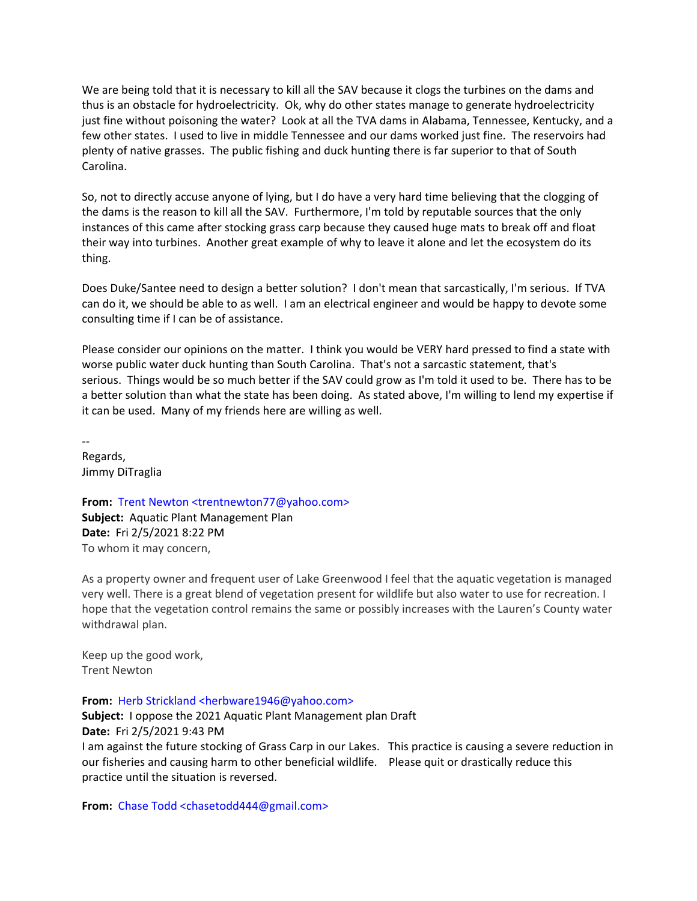We are being told that it is necessary to kill all the SAV because it clogs the turbines on the dams and thus is an obstacle for hydroelectricity. Ok, why do other states manage to generate hydroelectricity just fine without poisoning the water? Look at all the TVA dams in Alabama, Tennessee, Kentucky, and a few other states. I used to live in middle Tennessee and our dams worked just fine. The reservoirs had plenty of native grasses. The public fishing and duck hunting there is far superior to that of South Carolina.

So, not to directly accuse anyone of lying, but I do have a very hard time believing that the clogging of the dams is the reason to kill all the SAV. Furthermore, I'm told by reputable sources that the only instances of this came after stocking grass carp because they caused huge mats to break off and float their way into turbines. Another great example of why to leave it alone and let the ecosystem do its thing.

Does Duke/Santee need to design a better solution? I don't mean that sarcastically, I'm serious. If TVA can do it, we should be able to as well. I am an electrical engineer and would be happy to devote some consulting time if I can be of assistance.

Please consider our opinions on the matter. I think you would be VERY hard pressed to find a state with worse public water duck hunting than South Carolina. That's not a sarcastic statement, that's serious. Things would be so much better if the SAV could grow as I'm told it used to be. There has to be a better solution than what the state has been doing. As stated above, I'm willing to lend my expertise if it can be used. Many of my friends here are willing as well.

-- Regards, Jimmy DiTraglia

**From:** Trent Newton <trentnewton77@yahoo.com> **Subject:** Aquatic Plant Management Plan **Date:** Fri 2/5/2021 8:22 PM To whom it may concern,

As a property owner and frequent user of Lake Greenwood I feel that the aquatic vegetation is managed very well. There is a great blend of vegetation present for wildlife but also water to use for recreation. I hope that the vegetation control remains the same or possibly increases with the Lauren's County water withdrawal plan.

Keep up the good work, Trent Newton

**From:** Herb Strickland <herbware1946@yahoo.com>

**Subject:** I oppose the 2021 Aquatic Plant Management plan Draft **Date:** Fri 2/5/2021 9:43 PM I am against the future stocking of Grass Carp in our Lakes. This practice is causing a severe reduction in our fisheries and causing harm to other beneficial wildlife. Please quit or drastically reduce this

practice until the situation is reversed.

**From:** Chase Todd <chasetodd444@gmail.com>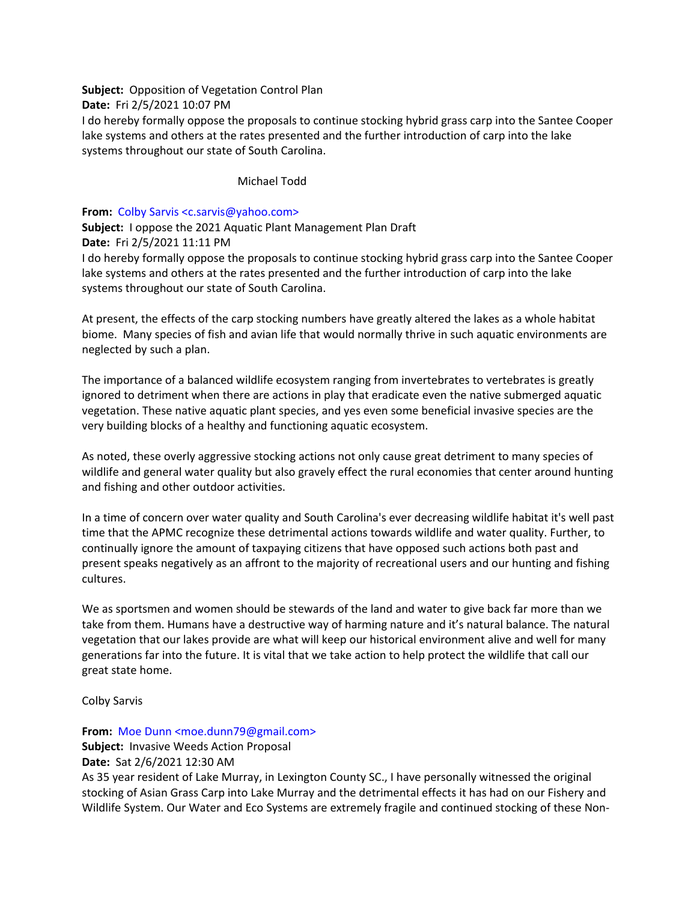**Subject:** Opposition of Vegetation Control Plan

**Date:** Fri 2/5/2021 10:07 PM

I do hereby formally oppose the proposals to continue stocking hybrid grass carp into the Santee Cooper lake systems and others at the rates presented and the further introduction of carp into the lake systems throughout our state of South Carolina.

# Michael Todd

## **From:** Colby Sarvis <c.sarvis@yahoo.com>

**Subject:** I oppose the 2021 Aquatic Plant Management Plan Draft **Date:** Fri 2/5/2021 11:11 PM

I do hereby formally oppose the proposals to continue stocking hybrid grass carp into the Santee Cooper lake systems and others at the rates presented and the further introduction of carp into the lake systems throughout our state of South Carolina.

At present, the effects of the carp stocking numbers have greatly altered the lakes as a whole habitat biome. Many species of fish and avian life that would normally thrive in such aquatic environments are neglected by such a plan.

The importance of a balanced wildlife ecosystem ranging from invertebrates to vertebrates is greatly ignored to detriment when there are actions in play that eradicate even the native submerged aquatic vegetation. These native aquatic plant species, and yes even some beneficial invasive species are the very building blocks of a healthy and functioning aquatic ecosystem.

As noted, these overly aggressive stocking actions not only cause great detriment to many species of wildlife and general water quality but also gravely effect the rural economies that center around hunting and fishing and other outdoor activities.

In a time of concern over water quality and South Carolina's ever decreasing wildlife habitat it's well past time that the APMC recognize these detrimental actions towards wildlife and water quality. Further, to continually ignore the amount of taxpaying citizens that have opposed such actions both past and present speaks negatively as an affront to the majority of recreational users and our hunting and fishing cultures.

We as sportsmen and women should be stewards of the land and water to give back far more than we take from them. Humans have a destructive way of harming nature and it's natural balance. The natural vegetation that our lakes provide are what will keep our historical environment alive and well for many generations far into the future. It is vital that we take action to help protect the wildlife that call our great state home.

Colby Sarvis

From: Moe Dunn <moe.dunn79@gmail.com> **Subject:** Invasive Weeds Action Proposal **Date:** Sat 2/6/2021 12:30 AM

As 35 year resident of Lake Murray, in Lexington County SC., I have personally witnessed the original stocking of Asian Grass Carp into Lake Murray and the detrimental effects it has had on our Fishery and Wildlife System. Our Water and Eco Systems are extremely fragile and continued stocking of these Non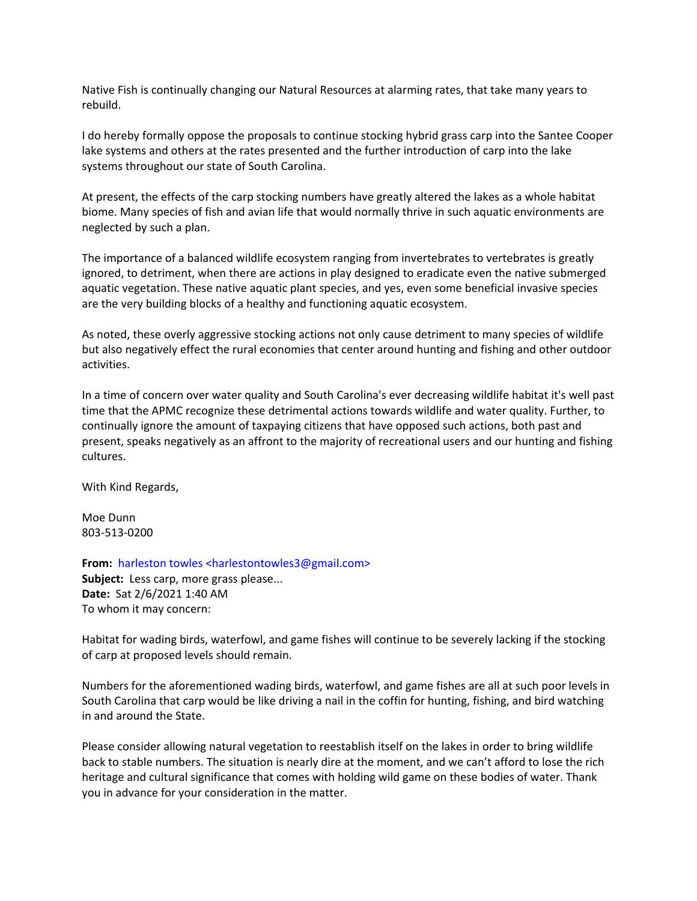Native Fish is continually changing our Natural Resources at alarming rates, that take many years to rebuild.

I do hereby formally oppose the proposals to continue stocking hybrid grass carp into the Santee Cooper lake systems and others at the rates presented and the further introduction of carp into the lake systems throughout our state of South Carolina.

At present, the effects of the carp stocking numbers have greatly altered the lakes as a whole habitat biome. Many species of fish and avian life that would normally thrive in such aquatic environments are neglected by such a plan.

The importance of a balanced wildlife ecosystem ranging from invertebrates to vertebrates is greatly ignored, to detriment, when there are actions in play designed to eradicate even the native submerged aquatic vegetation. These native aquatic plant species, and yes, even some beneficial invasive species are the very building blocks of a healthy and functioning aquatic ecosystem.

As noted, these overly aggressive stocking actions not only cause detriment to many species of wildlife but also negatively effect the rural economies that center around hunting and fishing and other outdoor activities.

In a time of concern over water quality and South Carolina's ever decreasing wildlife habitat it's well past time that the APMC recognize these detrimental actions towards wildlife and water quality. Further, to continually ignore the amount of taxpaying citizens that have opposed such actions, both past and present, speaks negatively as an affront to the majority of recreational users and our hunting and fishing cultures.

With Kind Regards,

Moe Dunn 803-513-0200

**From:** harleston towles <harlestontowles3@gmail.com> **Subject:** Less carp, more grass please... **Date:** Sat 2/6/2021 1:40 AM To whom it may concern:

Habitat for wading birds, waterfowl, and game fishes will continue to be severely lacking if the stocking of carp at proposed levels should remain.

Numbers for the aforementioned wading birds, waterfowl, and game fishes are all at such poor levels in South Carolina that carp would be like driving a nail in the coffin for hunting, fishing, and bird watching in and around the State.

Please consider allowing natural vegetation to reestablish itself on the lakes in order to bring wildlife back to stable numbers. The situation is nearly dire at the moment, and we can't afford to lose the rich heritage and cultural significance that comes with holding wild game on these bodies of water. Thank you in advance for your consideration in the matter.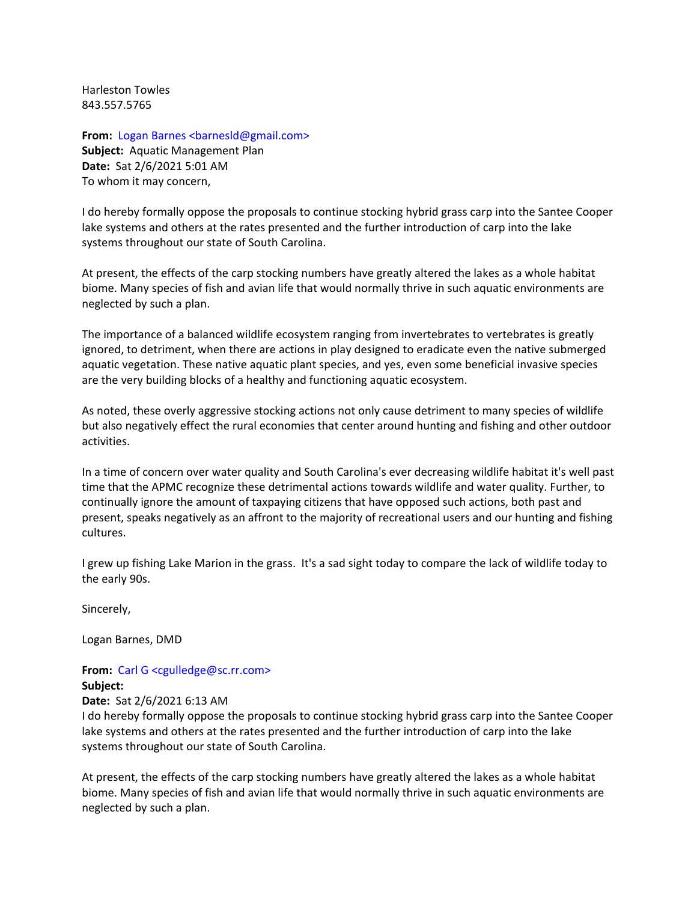Harleston Towles 843.557.5765

From: Logan Barnes <br/>barnesId@gmail.com> **Subject:** Aquatic Management Plan **Date:** Sat 2/6/2021 5:01 AM To whom it may concern,

I do hereby formally oppose the proposals to continue stocking hybrid grass carp into the Santee Cooper lake systems and others at the rates presented and the further introduction of carp into the lake systems throughout our state of South Carolina.

At present, the effects of the carp stocking numbers have greatly altered the lakes as a whole habitat biome. Many species of fish and avian life that would normally thrive in such aquatic environments are neglected by such a plan.

The importance of a balanced wildlife ecosystem ranging from invertebrates to vertebrates is greatly ignored, to detriment, when there are actions in play designed to eradicate even the native submerged aquatic vegetation. These native aquatic plant species, and yes, even some beneficial invasive species are the very building blocks of a healthy and functioning aquatic ecosystem.

As noted, these overly aggressive stocking actions not only cause detriment to many species of wildlife but also negatively effect the rural economies that center around hunting and fishing and other outdoor activities.

In a time of concern over water quality and South Carolina's ever decreasing wildlife habitat it's well past time that the APMC recognize these detrimental actions towards wildlife and water quality. Further, to continually ignore the amount of taxpaying citizens that have opposed such actions, both past and present, speaks negatively as an affront to the majority of recreational users and our hunting and fishing cultures.

I grew up fishing Lake Marion in the grass. It's a sad sight today to compare the lack of wildlife today to the early 90s.

Sincerely,

Logan Barnes, DMD

# **From:** Carl G <cgulledge@sc.rr.com> **Subject:**

### **Date:** Sat 2/6/2021 6:13 AM

I do hereby formally oppose the proposals to continue stocking hybrid grass carp into the Santee Cooper lake systems and others at the rates presented and the further introduction of carp into the lake systems throughout our state of South Carolina.

At present, the effects of the carp stocking numbers have greatly altered the lakes as a whole habitat biome. Many species of fish and avian life that would normally thrive in such aquatic environments are neglected by such a plan.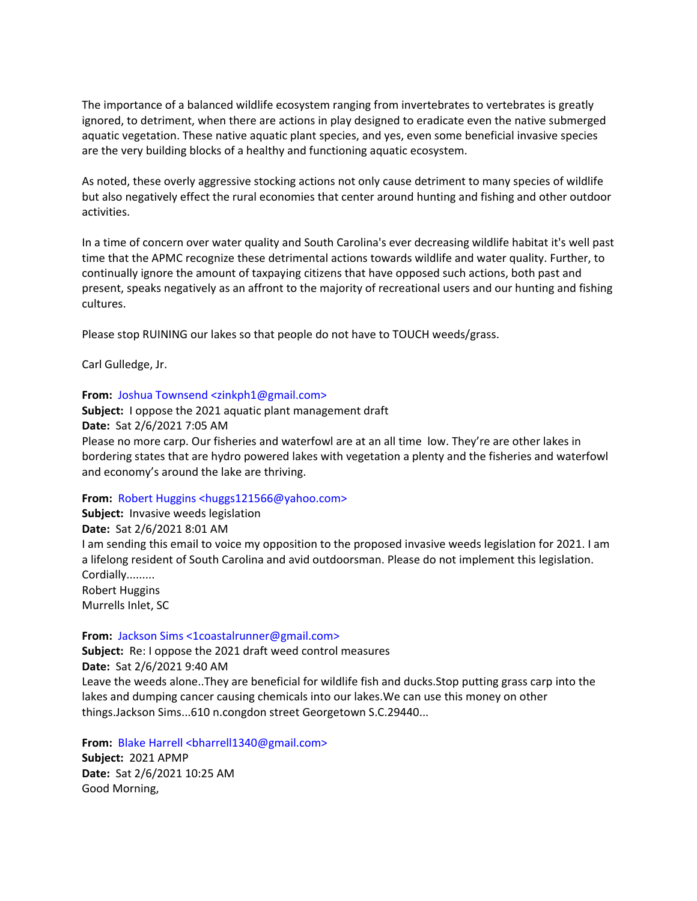The importance of a balanced wildlife ecosystem ranging from invertebrates to vertebrates is greatly ignored, to detriment, when there are actions in play designed to eradicate even the native submerged aquatic vegetation. These native aquatic plant species, and yes, even some beneficial invasive species are the very building blocks of a healthy and functioning aquatic ecosystem.

As noted, these overly aggressive stocking actions not only cause detriment to many species of wildlife but also negatively effect the rural economies that center around hunting and fishing and other outdoor activities.

In a time of concern over water quality and South Carolina's ever decreasing wildlife habitat it's well past time that the APMC recognize these detrimental actions towards wildlife and water quality. Further, to continually ignore the amount of taxpaying citizens that have opposed such actions, both past and present, speaks negatively as an affront to the majority of recreational users and our hunting and fishing cultures.

Please stop RUINING our lakes so that people do not have to TOUCH weeds/grass.

Carl Gulledge, Jr.

## **From:** Joshua Townsend <zinkph1@gmail.com>

**Subject:** I oppose the 2021 aquatic plant management draft **Date:** Sat 2/6/2021 7:05 AM Please no more carp. Our fisheries and waterfowl are at an all time low. They're are other lakes in bordering states that are hydro powered lakes with vegetation a plenty and the fisheries and waterfowl and economy's around the lake are thriving.

### **From: Robert Huggins <huggs121566@yahoo.com>**

**Subject:** Invasive weeds legislation **Date:** Sat 2/6/2021 8:01 AM I am sending this email to voice my opposition to the proposed invasive weeds legislation for 2021. I am a lifelong resident of South Carolina and avid outdoorsman. Please do not implement this legislation. Cordially......... Robert Huggins Murrells Inlet, SC

### **From:** Jackson Sims <1coastalrunner@gmail.com>

**Subject:** Re: I oppose the 2021 draft weed control measures **Date:** Sat 2/6/2021 9:40 AM Leave the weeds alone..They are beneficial for wildlife fish and ducks.Stop putting grass carp into the lakes and dumping cancer causing chemicals into our lakes.We can use this money on other things.Jackson Sims...610 n.congdon street Georgetown S.C.29440...

From: Blake Harrell <br />bharrell1340@gmail.com> **Subject:** 2021 APMP **Date:** Sat 2/6/2021 10:25 AM

Good Morning,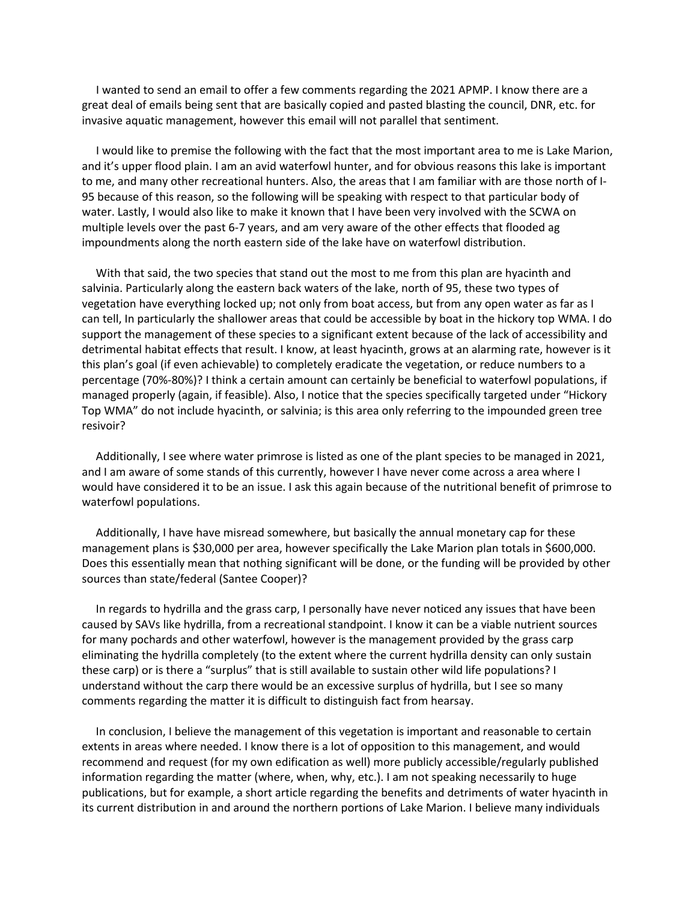I wanted to send an email to offer a few comments regarding the 2021 APMP. I know there are a great deal of emails being sent that are basically copied and pasted blasting the council, DNR, etc. for invasive aquatic management, however this email will not parallel that sentiment.

 I would like to premise the following with the fact that the most important area to me is Lake Marion, and it's upper flood plain. I am an avid waterfowl hunter, and for obvious reasons this lake is important to me, and many other recreational hunters. Also, the areas that I am familiar with are those north of I-95 because of this reason, so the following will be speaking with respect to that particular body of water. Lastly, I would also like to make it known that I have been very involved with the SCWA on multiple levels over the past 6-7 years, and am very aware of the other effects that flooded ag impoundments along the north eastern side of the lake have on waterfowl distribution.

 With that said, the two species that stand out the most to me from this plan are hyacinth and salvinia. Particularly along the eastern back waters of the lake, north of 95, these two types of vegetation have everything locked up; not only from boat access, but from any open water as far as I can tell, In particularly the shallower areas that could be accessible by boat in the hickory top WMA. I do support the management of these species to a significant extent because of the lack of accessibility and detrimental habitat effects that result. I know, at least hyacinth, grows at an alarming rate, however is it this plan's goal (if even achievable) to completely eradicate the vegetation, or reduce numbers to a percentage (70%-80%)? I think a certain amount can certainly be beneficial to waterfowl populations, if managed properly (again, if feasible). Also, I notice that the species specifically targeted under "Hickory Top WMA" do not include hyacinth, or salvinia; is this area only referring to the impounded green tree resivoir?

 Additionally, I see where water primrose is listed as one of the plant species to be managed in 2021, and I am aware of some stands of this currently, however I have never come across a area where I would have considered it to be an issue. I ask this again because of the nutritional benefit of primrose to waterfowl populations.

 Additionally, I have have misread somewhere, but basically the annual monetary cap for these management plans is \$30,000 per area, however specifically the Lake Marion plan totals in \$600,000. Does this essentially mean that nothing significant will be done, or the funding will be provided by other sources than state/federal (Santee Cooper)?

 In regards to hydrilla and the grass carp, I personally have never noticed any issues that have been caused by SAVs like hydrilla, from a recreational standpoint. I know it can be a viable nutrient sources for many pochards and other waterfowl, however is the management provided by the grass carp eliminating the hydrilla completely (to the extent where the current hydrilla density can only sustain these carp) or is there a "surplus" that is still available to sustain other wild life populations? I understand without the carp there would be an excessive surplus of hydrilla, but I see so many comments regarding the matter it is difficult to distinguish fact from hearsay.

 In conclusion, I believe the management of this vegetation is important and reasonable to certain extents in areas where needed. I know there is a lot of opposition to this management, and would recommend and request (for my own edification as well) more publicly accessible/regularly published information regarding the matter (where, when, why, etc.). I am not speaking necessarily to huge publications, but for example, a short article regarding the benefits and detriments of water hyacinth in its current distribution in and around the northern portions of Lake Marion. I believe many individuals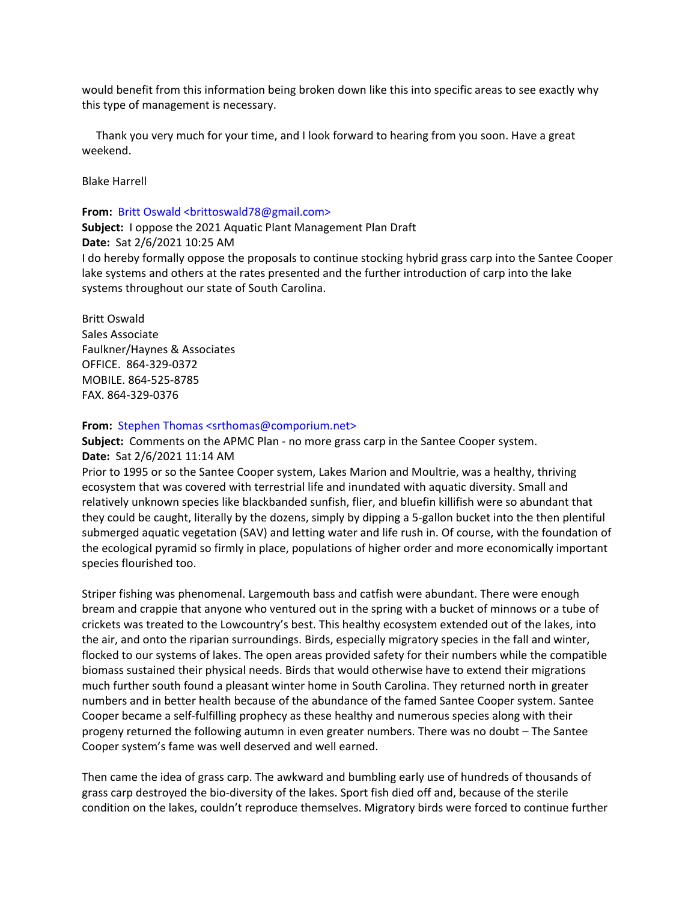would benefit from this information being broken down like this into specific areas to see exactly why this type of management is necessary.

 Thank you very much for your time, and I look forward to hearing from you soon. Have a great weekend.

Blake Harrell

### From: Britt Oswald <brittoswald78@gmail.com>

**Subject:** I oppose the 2021 Aquatic Plant Management Plan Draft **Date:** Sat 2/6/2021 10:25 AM I do hereby formally oppose the proposals to continue stocking hybrid grass carp into the Santee Cooper lake systems and others at the rates presented and the further introduction of carp into the lake systems throughout our state of South Carolina.

Britt Oswald Sales Associate Faulkner/Haynes & Associates OFFICE. 864-329-0372 MOBILE. 864-525-8785 FAX. 864-329-0376

## **From:** Stephen Thomas <srthomas@comporium.net>

**Subject:** Comments on the APMC Plan - no more grass carp in the Santee Cooper system. **Date:** Sat 2/6/2021 11:14 AM

Prior to 1995 or so the Santee Cooper system, Lakes Marion and Moultrie, was a healthy, thriving ecosystem that was covered with terrestrial life and inundated with aquatic diversity. Small and relatively unknown species like blackbanded sunfish, flier, and bluefin killifish were so abundant that they could be caught, literally by the dozens, simply by dipping a 5-gallon bucket into the then plentiful submerged aquatic vegetation (SAV) and letting water and life rush in. Of course, with the foundation of the ecological pyramid so firmly in place, populations of higher order and more economically important species flourished too.

Striper fishing was phenomenal. Largemouth bass and catfish were abundant. There were enough bream and crappie that anyone who ventured out in the spring with a bucket of minnows or a tube of crickets was treated to the Lowcountry's best. This healthy ecosystem extended out of the lakes, into the air, and onto the riparian surroundings. Birds, especially migratory species in the fall and winter, flocked to our systems of lakes. The open areas provided safety for their numbers while the compatible biomass sustained their physical needs. Birds that would otherwise have to extend their migrations much further south found a pleasant winter home in South Carolina. They returned north in greater numbers and in better health because of the abundance of the famed Santee Cooper system. Santee Cooper became a self-fulfilling prophecy as these healthy and numerous species along with their progeny returned the following autumn in even greater numbers. There was no doubt – The Santee Cooper system's fame was well deserved and well earned.

Then came the idea of grass carp. The awkward and bumbling early use of hundreds of thousands of grass carp destroyed the bio-diversity of the lakes. Sport fish died off and, because of the sterile condition on the lakes, couldn't reproduce themselves. Migratory birds were forced to continue further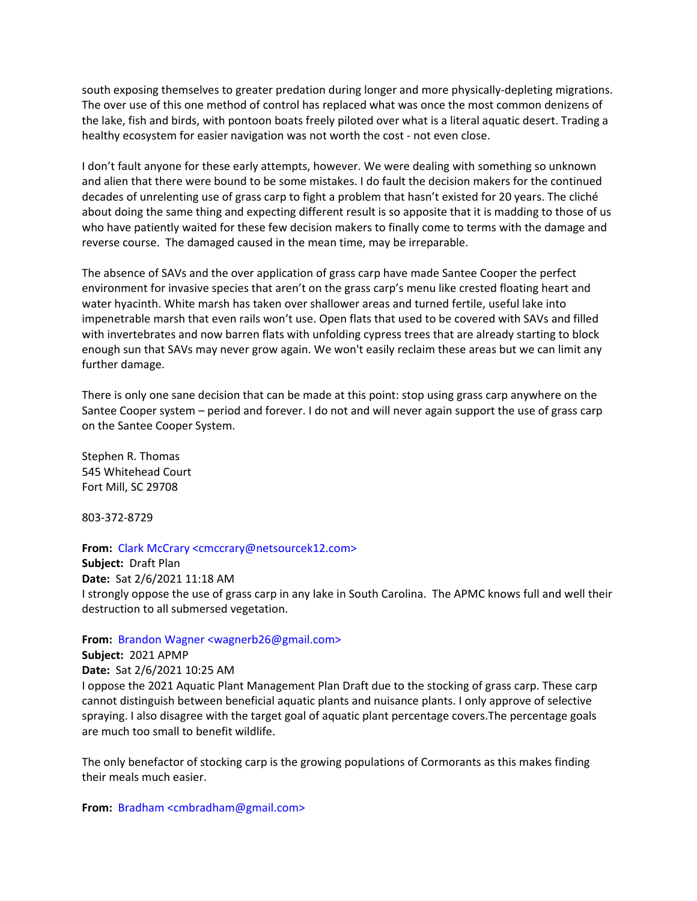south exposing themselves to greater predation during longer and more physically-depleting migrations. The over use of this one method of control has replaced what was once the most common denizens of the lake, fish and birds, with pontoon boats freely piloted over what is a literal aquatic desert. Trading a healthy ecosystem for easier navigation was not worth the cost - not even close.

I don't fault anyone for these early attempts, however. We were dealing with something so unknown and alien that there were bound to be some mistakes. I do fault the decision makers for the continued decades of unrelenting use of grass carp to fight a problem that hasn't existed for 20 years. The cliché about doing the same thing and expecting different result is so apposite that it is madding to those of us who have patiently waited for these few decision makers to finally come to terms with the damage and reverse course. The damaged caused in the mean time, may be irreparable.

The absence of SAVs and the over application of grass carp have made Santee Cooper the perfect environment for invasive species that aren't on the grass carp's menu like crested floating heart and water hyacinth. White marsh has taken over shallower areas and turned fertile, useful lake into impenetrable marsh that even rails won't use. Open flats that used to be covered with SAVs and filled with invertebrates and now barren flats with unfolding cypress trees that are already starting to block enough sun that SAVs may never grow again. We won't easily reclaim these areas but we can limit any further damage.

There is only one sane decision that can be made at this point: stop using grass carp anywhere on the Santee Cooper system – period and forever. I do not and will never again support the use of grass carp on the Santee Cooper System.

Stephen R. Thomas 545 Whitehead Court Fort Mill, SC 29708

803-372-8729

**From:** Clark McCrary <cmccrary@netsourcek12.com>

**Subject:** Draft Plan **Date:** Sat 2/6/2021 11:18 AM I strongly oppose the use of grass carp in any lake in South Carolina. The APMC knows full and well their destruction to all submersed vegetation.

### **From:** Brandon Wagner <wagnerb26@gmail.com>

**Subject:** 2021 APMP **Date:** Sat 2/6/2021 10:25 AM I oppose the 2021 Aquatic Plant Management Plan Draft due to the stocking of grass carp. These carp cannot distinguish between beneficial aquatic plants and nuisance plants. I only approve of selective spraying. I also disagree with the target goal of aquatic plant percentage covers.The percentage goals are much too small to benefit wildlife.

The only benefactor of stocking carp is the growing populations of Cormorants as this makes finding their meals much easier.

**From:** Bradham <cmbradham@gmail.com>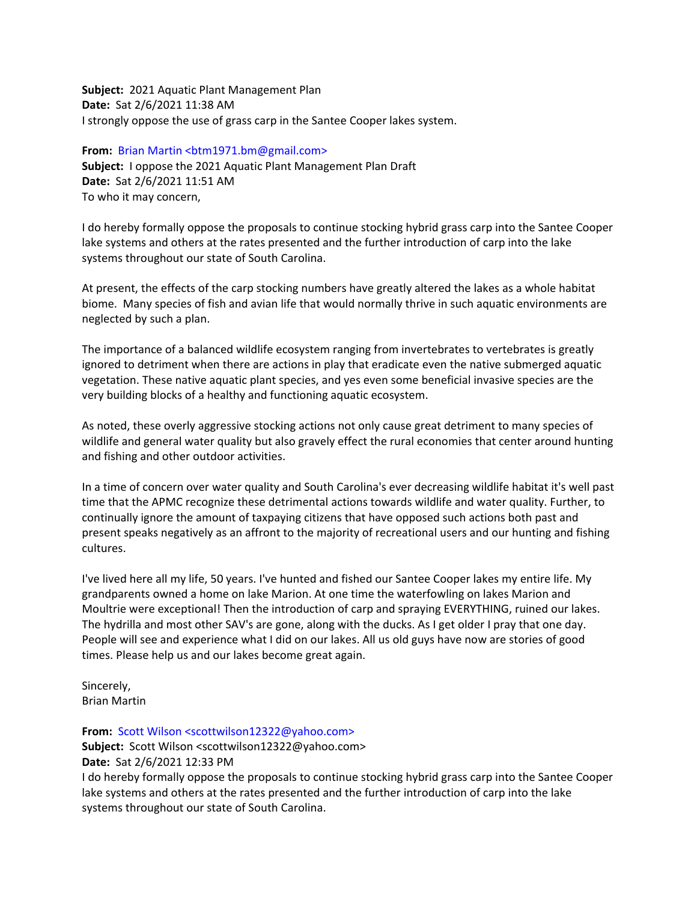**Subject:** 2021 Aquatic Plant Management Plan **Date:** Sat 2/6/2021 11:38 AM I strongly oppose the use of grass carp in the Santee Cooper lakes system.

**From:** Brian Martin <br/>btm1971.bm@gmail.com> **Subject:** I oppose the 2021 Aquatic Plant Management Plan Draft **Date:** Sat 2/6/2021 11:51 AM To who it may concern,

I do hereby formally oppose the proposals to continue stocking hybrid grass carp into the Santee Cooper lake systems and others at the rates presented and the further introduction of carp into the lake systems throughout our state of South Carolina.

At present, the effects of the carp stocking numbers have greatly altered the lakes as a whole habitat biome. Many species of fish and avian life that would normally thrive in such aquatic environments are neglected by such a plan.

The importance of a balanced wildlife ecosystem ranging from invertebrates to vertebrates is greatly ignored to detriment when there are actions in play that eradicate even the native submerged aquatic vegetation. These native aquatic plant species, and yes even some beneficial invasive species are the very building blocks of a healthy and functioning aquatic ecosystem.

As noted, these overly aggressive stocking actions not only cause great detriment to many species of wildlife and general water quality but also gravely effect the rural economies that center around hunting and fishing and other outdoor activities.

In a time of concern over water quality and South Carolina's ever decreasing wildlife habitat it's well past time that the APMC recognize these detrimental actions towards wildlife and water quality. Further, to continually ignore the amount of taxpaying citizens that have opposed such actions both past and present speaks negatively as an affront to the majority of recreational users and our hunting and fishing cultures.

I've lived here all my life, 50 years. I've hunted and fished our Santee Cooper lakes my entire life. My grandparents owned a home on lake Marion. At one time the waterfowling on lakes Marion and Moultrie were exceptional! Then the introduction of carp and spraying EVERYTHING, ruined our lakes. The hydrilla and most other SAV's are gone, along with the ducks. As I get older I pray that one day. People will see and experience what I did on our lakes. All us old guys have now are stories of good times. Please help us and our lakes become great again.

Sincerely, Brian Martin

**From:** Scott Wilson <scottwilson12322@yahoo.com> **Subject:** Scott Wilson <scottwilson12322@yahoo.com> **Date:** Sat 2/6/2021 12:33 PM

I do hereby formally oppose the proposals to continue stocking hybrid grass carp into the Santee Cooper lake systems and others at the rates presented and the further introduction of carp into the lake systems throughout our state of South Carolina.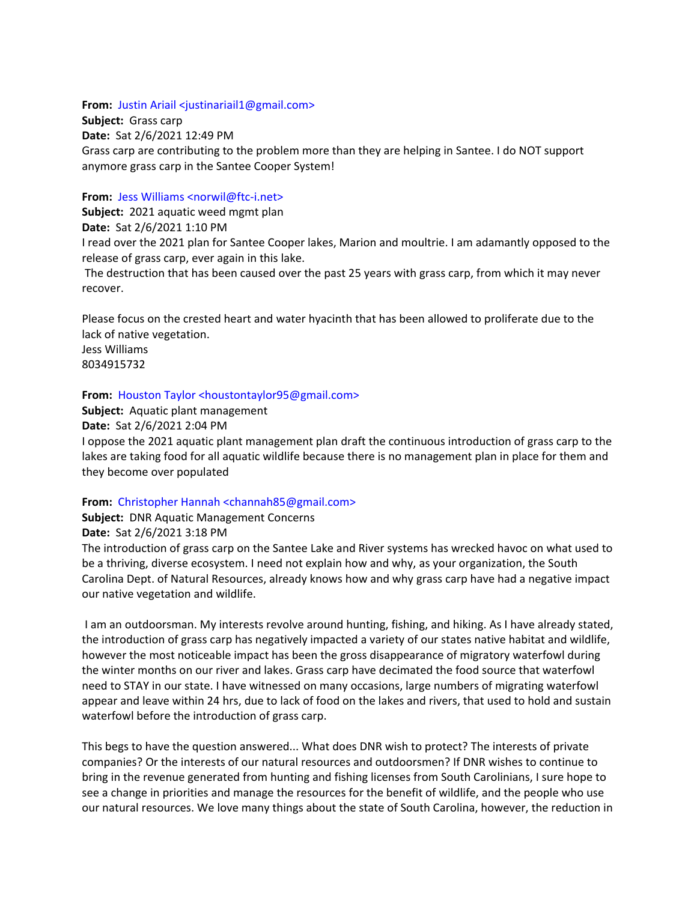### **From:** Justin Ariail <justinariail1@gmail.com>

**Subject:** Grass carp **Date:** Sat 2/6/2021 12:49 PM Grass carp are contributing to the problem more than they are helping in Santee. I do NOT support anymore grass carp in the Santee Cooper System!

## **From:** Jess Williams <norwil@ftc-i.net>

**Subject:** 2021 aquatic weed mgmt plan **Date:** Sat 2/6/2021 1:10 PM I read over the 2021 plan for Santee Cooper lakes, Marion and moultrie. I am adamantly opposed to the release of grass carp, ever again in this lake.

The destruction that has been caused over the past 25 years with grass carp, from which it may never recover.

Please focus on the crested heart and water hyacinth that has been allowed to proliferate due to the lack of native vegetation. Jess Williams 8034915732

**From:** Houston Taylor <houstontaylor95@gmail.com>

**Subject:** Aquatic plant management **Date:** Sat 2/6/2021 2:04 PM I oppose the 2021 aquatic plant management plan draft the continuous introduction of grass carp to the lakes are taking food for all aquatic wildlife because there is no management plan in place for them and they become over populated

**From:** Christopher Hannah <channah85@gmail.com>

**Subject:** DNR Aquatic Management Concerns

**Date:** Sat 2/6/2021 3:18 PM

The introduction of grass carp on the Santee Lake and River systems has wrecked havoc on what used to be a thriving, diverse ecosystem. I need not explain how and why, as your organization, the South Carolina Dept. of Natural Resources, already knows how and why grass carp have had a negative impact our native vegetation and wildlife.

I am an outdoorsman. My interests revolve around hunting, fishing, and hiking. As I have already stated, the introduction of grass carp has negatively impacted a variety of our states native habitat and wildlife, however the most noticeable impact has been the gross disappearance of migratory waterfowl during the winter months on our river and lakes. Grass carp have decimated the food source that waterfowl need to STAY in our state. I have witnessed on many occasions, large numbers of migrating waterfowl appear and leave within 24 hrs, due to lack of food on the lakes and rivers, that used to hold and sustain waterfowl before the introduction of grass carp.

This begs to have the question answered... What does DNR wish to protect? The interests of private companies? Or the interests of our natural resources and outdoorsmen? If DNR wishes to continue to bring in the revenue generated from hunting and fishing licenses from South Carolinians, I sure hope to see a change in priorities and manage the resources for the benefit of wildlife, and the people who use our natural resources. We love many things about the state of South Carolina, however, the reduction in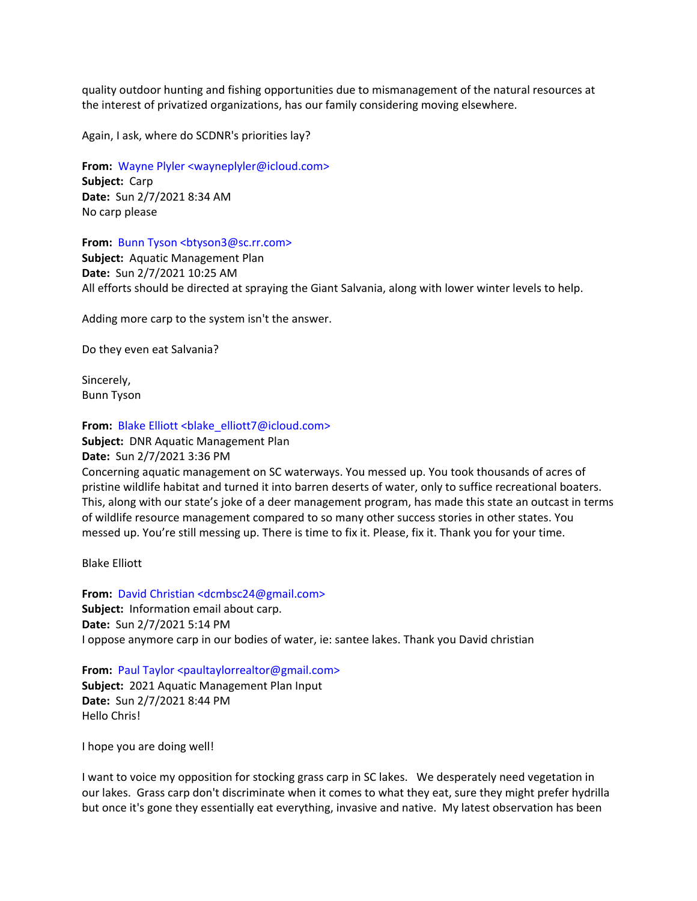quality outdoor hunting and fishing opportunities due to mismanagement of the natural resources at the interest of privatized organizations, has our family considering moving elsewhere.

Again, I ask, where do SCDNR's priorities lay?

**From:** Wayne Plyler <wayneplyler@icloud.com> **Subject:** Carp **Date:** Sun 2/7/2021 8:34 AM No carp please

**From: Bunn Tyson <br/>btyson3@sc.rr.com> Subject:** Aquatic Management Plan **Date:** Sun 2/7/2021 10:25 AM All efforts should be directed at spraying the Giant Salvania, along with lower winter levels to help.

Adding more carp to the system isn't the answer.

Do they even eat Salvania?

Sincerely, Bunn Tyson

From: Blake Elliott <br/>blake\_elliott7@icloud.com>

**Subject:** DNR Aquatic Management Plan **Date:** Sun 2/7/2021 3:36 PM

Concerning aquatic management on SC waterways. You messed up. You took thousands of acres of pristine wildlife habitat and turned it into barren deserts of water, only to suffice recreational boaters. This, along with our state's joke of a deer management program, has made this state an outcast in terms of wildlife resource management compared to so many other success stories in other states. You messed up. You're still messing up. There is time to fix it. Please, fix it. Thank you for your time.

Blake Elliott

**From:** David Christian <dcmbsc24@gmail.com> **Subject:** Information email about carp. **Date:** Sun 2/7/2021 5:14 PM I oppose anymore carp in our bodies of water, ie: santee lakes. Thank you David christian

From: Paul Taylor <paultaylorrealtor@gmail.com> **Subject:** 2021 Aquatic Management Plan Input **Date:** Sun 2/7/2021 8:44 PM Hello Chris!

I hope you are doing well!

I want to voice my opposition for stocking grass carp in SC lakes. We desperately need vegetation in our lakes. Grass carp don't discriminate when it comes to what they eat, sure they might prefer hydrilla but once it's gone they essentially eat everything, invasive and native. My latest observation has been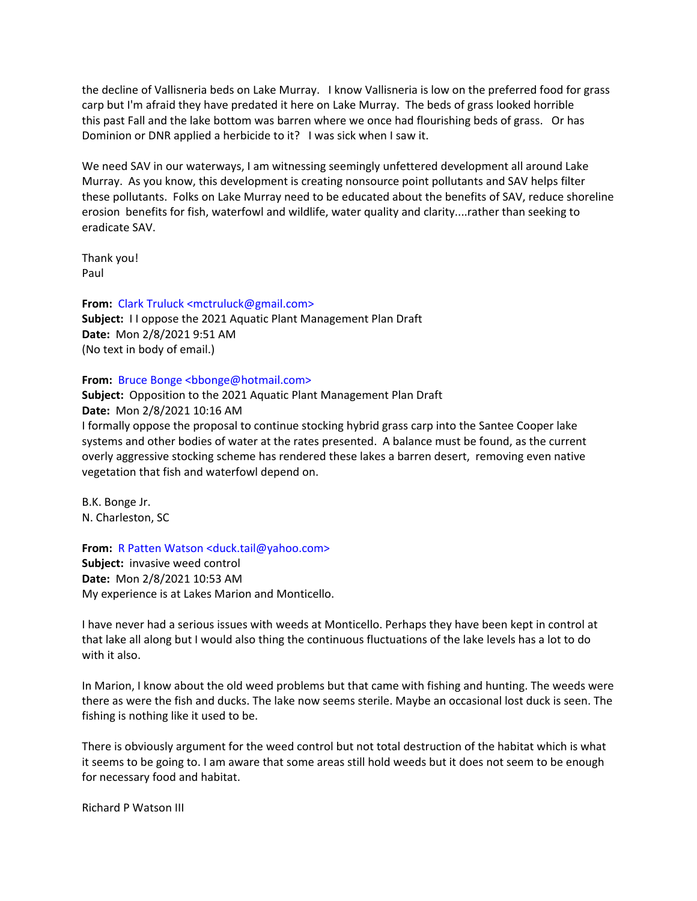the decline of Vallisneria beds on Lake Murray. I know Vallisneria is low on the preferred food for grass carp but I'm afraid they have predated it here on Lake Murray. The beds of grass looked horrible this past Fall and the lake bottom was barren where we once had flourishing beds of grass. Or has Dominion or DNR applied a herbicide to it? I was sick when I saw it.

We need SAV in our waterways, I am witnessing seemingly unfettered development all around Lake Murray. As you know, this development is creating nonsource point pollutants and SAV helps filter these pollutants. Folks on Lake Murray need to be educated about the benefits of SAV, reduce shoreline erosion benefits for fish, waterfowl and wildlife, water quality and clarity....rather than seeking to eradicate SAV.

Thank you! Paul

**From:** Clark Truluck <mctruluck@gmail.com> **Subject:** I I oppose the 2021 Aquatic Plant Management Plan Draft **Date:** Mon 2/8/2021 9:51 AM (No text in body of email.)

## **From:** Bruce Bonge <bbonge@hotmail.com>

**Subject:** Opposition to the 2021 Aquatic Plant Management Plan Draft **Date:** Mon 2/8/2021 10:16 AM I formally oppose the proposal to continue stocking hybrid grass carp into the Santee Cooper lake systems and other bodies of water at the rates presented. A balance must be found, as the current overly aggressive stocking scheme has rendered these lakes a barren desert, removing even native vegetation that fish and waterfowl depend on.

B.K. Bonge Jr. N. Charleston, SC

**From:** R Patten Watson <duck.tail@yahoo.com>

**Subject:** invasive weed control **Date:** Mon 2/8/2021 10:53 AM My experience is at Lakes Marion and Monticello.

I have never had a serious issues with weeds at Monticello. Perhaps they have been kept in control at that lake all along but I would also thing the continuous fluctuations of the lake levels has a lot to do with it also.

In Marion, I know about the old weed problems but that came with fishing and hunting. The weeds were there as were the fish and ducks. The lake now seems sterile. Maybe an occasional lost duck is seen. The fishing is nothing like it used to be.

There is obviously argument for the weed control but not total destruction of the habitat which is what it seems to be going to. I am aware that some areas still hold weeds but it does not seem to be enough for necessary food and habitat.

Richard P Watson III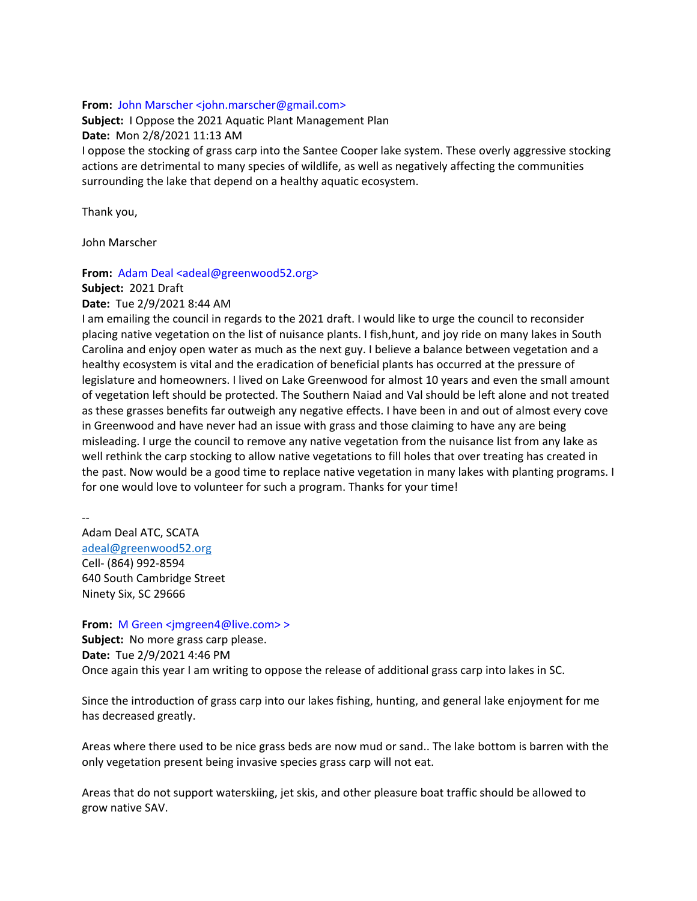### **From:** John Marscher <john.marscher@gmail.com>

**Subject:** I Oppose the 2021 Aquatic Plant Management Plan **Date:** Mon 2/8/2021 11:13 AM

I oppose the stocking of grass carp into the Santee Cooper lake system. These overly aggressive stocking actions are detrimental to many species of wildlife, as well as negatively affecting the communities surrounding the lake that depend on a healthy aquatic ecosystem.

Thank you,

John Marscher

**From:** Adam Deal <adeal@greenwood52.org>

# **Subject:** 2021 Draft

**Date:** Tue 2/9/2021 8:44 AM

I am emailing the council in regards to the 2021 draft. I would like to urge the council to reconsider placing native vegetation on the list of nuisance plants. I fish,hunt, and joy ride on many lakes in South Carolina and enjoy open water as much as the next guy. I believe a balance between vegetation and a healthy ecosystem is vital and the eradication of beneficial plants has occurred at the pressure of legislature and homeowners. I lived on Lake Greenwood for almost 10 years and even the small amount of vegetation left should be protected. The Southern Naiad and Val should be left alone and not treated as these grasses benefits far outweigh any negative effects. I have been in and out of almost every cove in Greenwood and have never had an issue with grass and those claiming to have any are being misleading. I urge the council to remove any native vegetation from the nuisance list from any lake as well rethink the carp stocking to allow native vegetations to fill holes that over treating has created in the past. Now would be a good time to replace native vegetation in many lakes with planting programs. I for one would love to volunteer for such a program. Thanks for your time!

-- Adam Deal ATC, SCATA [adeal@greenwood52.org](mailto:adeal@greenwood52.org) Cell- (864) 992-8594 640 South Cambridge Street Ninety Six, SC 29666

**From:** M Green <jmgreen4@live.com> > **Subject:** No more grass carp please. **Date:** Tue 2/9/2021 4:46 PM Once again this year I am writing to oppose the release of additional grass carp into lakes in SC.

Since the introduction of grass carp into our lakes fishing, hunting, and general lake enjoyment for me has decreased greatly.

Areas where there used to be nice grass beds are now mud or sand.. The lake bottom is barren with the only vegetation present being invasive species grass carp will not eat.

Areas that do not support waterskiing, jet skis, and other pleasure boat traffic should be allowed to grow native SAV.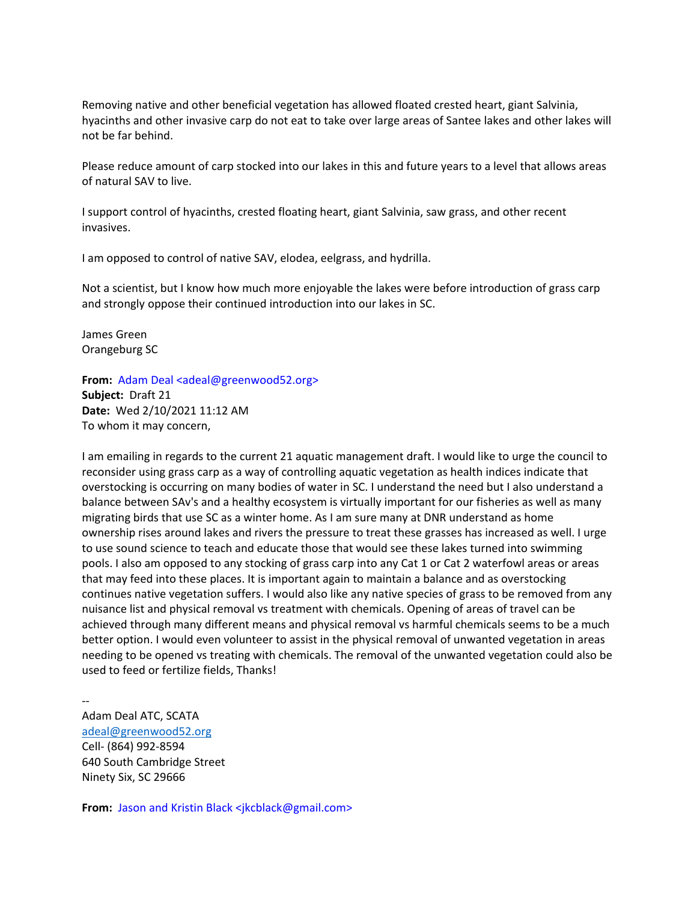Removing native and other beneficial vegetation has allowed floated crested heart, giant Salvinia, hyacinths and other invasive carp do not eat to take over large areas of Santee lakes and other lakes will not be far behind.

Please reduce amount of carp stocked into our lakes in this and future years to a level that allows areas of natural SAV to live.

I support control of hyacinths, crested floating heart, giant Salvinia, saw grass, and other recent invasives.

I am opposed to control of native SAV, elodea, eelgrass, and hydrilla.

Not a scientist, but I know how much more enjoyable the lakes were before introduction of grass carp and strongly oppose their continued introduction into our lakes in SC.

James Green Orangeburg SC

**From:** Adam Deal <adeal@greenwood52.org>

**Subject:** Draft 21 **Date:** Wed 2/10/2021 11:12 AM To whom it may concern,

I am emailing in regards to the current 21 aquatic management draft. I would like to urge the council to reconsider using grass carp as a way of controlling aquatic vegetation as health indices indicate that overstocking is occurring on many bodies of water in SC. I understand the need but I also understand a balance between SAv's and a healthy ecosystem is virtually important for our fisheries as well as many migrating birds that use SC as a winter home. As I am sure many at DNR understand as home ownership rises around lakes and rivers the pressure to treat these grasses has increased as well. I urge to use sound science to teach and educate those that would see these lakes turned into swimming pools. I also am opposed to any stocking of grass carp into any Cat 1 or Cat 2 waterfowl areas or areas that may feed into these places. It is important again to maintain a balance and as overstocking continues native vegetation suffers. I would also like any native species of grass to be removed from any nuisance list and physical removal vs treatment with chemicals. Opening of areas of travel can be achieved through many different means and physical removal vs harmful chemicals seems to be a much better option. I would even volunteer to assist in the physical removal of unwanted vegetation in areas needing to be opened vs treating with chemicals. The removal of the unwanted vegetation could also be used to feed or fertilize fields, Thanks!

-- Adam Deal ATC, SCATA [adeal@greenwood52.org](mailto:adeal@greenwood52.org) Cell- (864) 992-8594 640 South Cambridge Street Ninety Six, SC 29666

**From:** Jason and Kristin Black <jkcblack@gmail.com>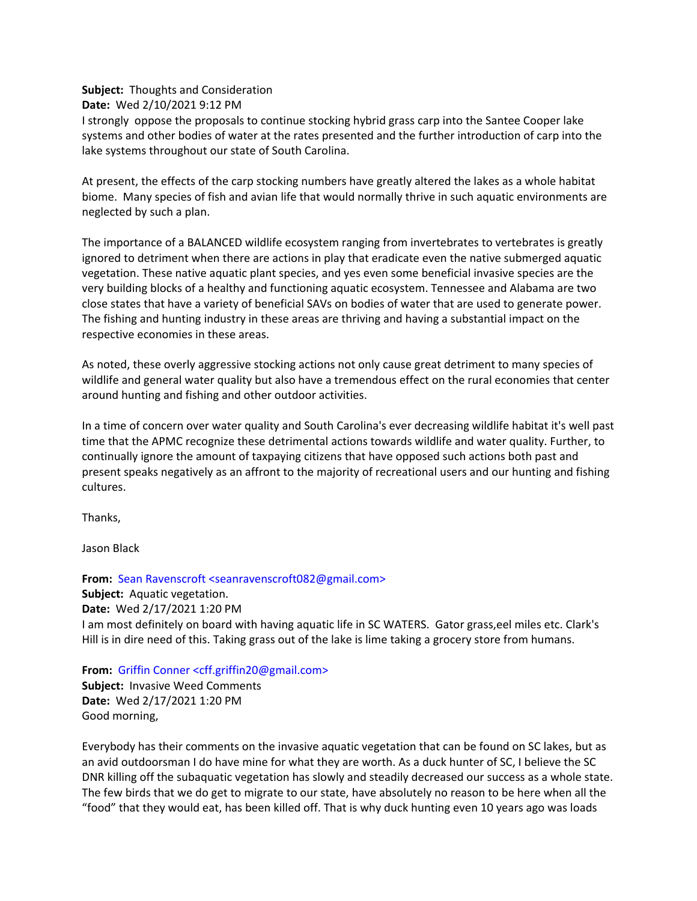**Subject:** Thoughts and Consideration

**Date:** Wed 2/10/2021 9:12 PM

I strongly oppose the proposals to continue stocking hybrid grass carp into the Santee Cooper lake systems and other bodies of water at the rates presented and the further introduction of carp into the lake systems throughout our state of South Carolina.

At present, the effects of the carp stocking numbers have greatly altered the lakes as a whole habitat biome. Many species of fish and avian life that would normally thrive in such aquatic environments are neglected by such a plan.

The importance of a BALANCED wildlife ecosystem ranging from invertebrates to vertebrates is greatly ignored to detriment when there are actions in play that eradicate even the native submerged aquatic vegetation. These native aquatic plant species, and yes even some beneficial invasive species are the very building blocks of a healthy and functioning aquatic ecosystem. Tennessee and Alabama are two close states that have a variety of beneficial SAVs on bodies of water that are used to generate power. The fishing and hunting industry in these areas are thriving and having a substantial impact on the respective economies in these areas.

As noted, these overly aggressive stocking actions not only cause great detriment to many species of wildlife and general water quality but also have a tremendous effect on the rural economies that center around hunting and fishing and other outdoor activities.

In a time of concern over water quality and South Carolina's ever decreasing wildlife habitat it's well past time that the APMC recognize these detrimental actions towards wildlife and water quality. Further, to continually ignore the amount of taxpaying citizens that have opposed such actions both past and present speaks negatively as an affront to the majority of recreational users and our hunting and fishing cultures.

Thanks,

Jason Black

**From:** Sean Ravenscroft <seanravenscroft082@gmail.com> **Subject:** Aquatic vegetation. **Date:** Wed 2/17/2021 1:20 PM I am most definitely on board with having aquatic life in SC WATERS. Gator grass,eel miles etc. Clark's Hill is in dire need of this. Taking grass out of the lake is lime taking a grocery store from humans.

**From:** Griffin Conner <cff.griffin20@gmail.com> **Subject:** Invasive Weed Comments **Date:** Wed 2/17/2021 1:20 PM Good morning,

Everybody has their comments on the invasive aquatic vegetation that can be found on SC lakes, but as an avid outdoorsman I do have mine for what they are worth. As a duck hunter of SC, I believe the SC DNR killing off the subaquatic vegetation has slowly and steadily decreased our success as a whole state. The few birds that we do get to migrate to our state, have absolutely no reason to be here when all the "food" that they would eat, has been killed off. That is why duck hunting even 10 years ago was loads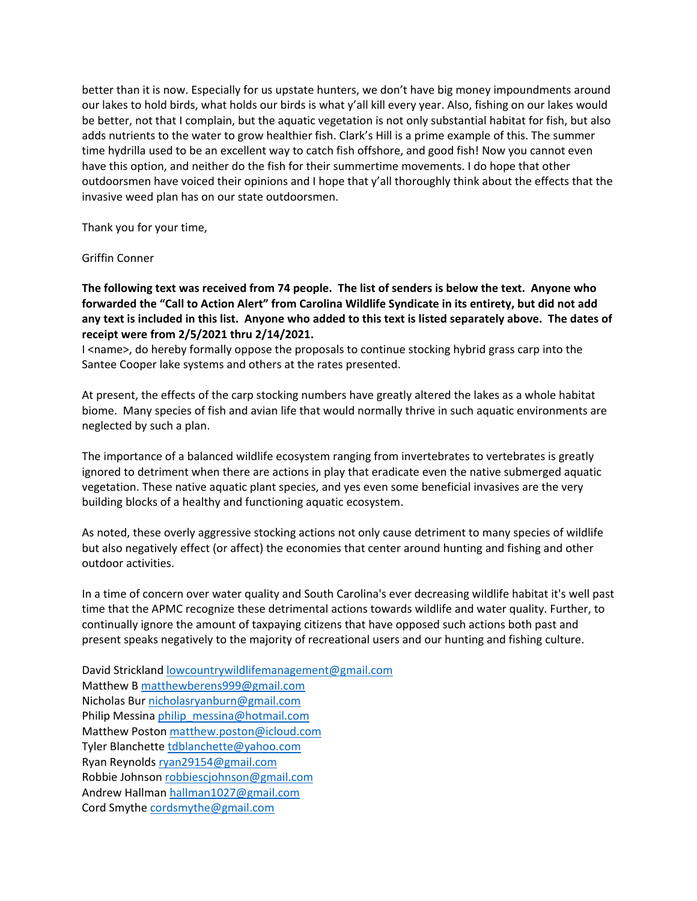better than it is now. Especially for us upstate hunters, we don't have big money impoundments around our lakes to hold birds, what holds our birds is what y'all kill every year. Also, fishing on our lakes would be better, not that I complain, but the aquatic vegetation is not only substantial habitat for fish, but also adds nutrients to the water to grow healthier fish. Clark's Hill is a prime example of this. The summer time hydrilla used to be an excellent way to catch fish offshore, and good fish! Now you cannot even have this option, and neither do the fish for their summertime movements. I do hope that other outdoorsmen have voiced their opinions and I hope that y'all thoroughly think about the effects that the invasive weed plan has on our state outdoorsmen.

Thank you for your time,

# Griffin Conner

**The following text was received from 74 people. The list of senders is below the text. Anyone who forwarded the "Call to Action Alert" from Carolina Wildlife Syndicate in its entirety, but did not add any text is included in this list. Anyone who added to this text is listed separately above. The dates of receipt were from 2/5/2021 thru 2/14/2021.**

I <name>, do hereby formally oppose the proposals to continue stocking hybrid grass carp into the Santee Cooper lake systems and others at the rates presented.

At present, the effects of the carp stocking numbers have greatly altered the lakes as a whole habitat biome. Many species of fish and avian life that would normally thrive in such aquatic environments are neglected by such a plan.

The importance of a balanced wildlife ecosystem ranging from invertebrates to vertebrates is greatly ignored to detriment when there are actions in play that eradicate even the native submerged aquatic vegetation. These native aquatic plant species, and yes even some beneficial invasives are the very building blocks of a healthy and functioning aquatic ecosystem.

As noted, these overly aggressive stocking actions not only cause detriment to many species of wildlife but also negatively effect (or affect) the economies that center around hunting and fishing and other outdoor activities.

In a time of concern over water quality and South Carolina's ever decreasing wildlife habitat it's well past time that the APMC recognize these detrimental actions towards wildlife and water quality. Further, to continually ignore the amount of taxpaying citizens that have opposed such actions both past and present speaks negatively to the majority of recreational users and our hunting and fishing culture.

David Strickland [lowcountrywildlifemanagement@gmail.com](mailto:lowcountrywildlifemanagement@gmail.com) Matthew B [matthewberens999@gmail.com](mailto:matthewberens999@gmail.com) Nicholas Bur [nicholasryanburn@gmail.com](mailto:nicholasryanburn@gmail.com) Philip Messina [philip\\_messina@hotmail.com](mailto:philip_messina@hotmail.com) Matthew Poston [matthew.poston@icloud.com](mailto:matthew.poston@icloud.com) Tyler Blanchette [tdblanchette@yahoo.com](mailto:tdblanchette@yahoo.com) Ryan Reynold[s ryan29154@gmail.com](mailto:ryan29154@gmail.com) Robbie Johnson [robbiescjohnson@gmail.com](mailto:robbiescjohnson@gmail.com) Andrew Hallman [hallman1027@gmail.com](mailto:hallman1027@gmail.com) Cord Smythe [cordsmythe@gmail.com](mailto:cordsmythe@gmail.com)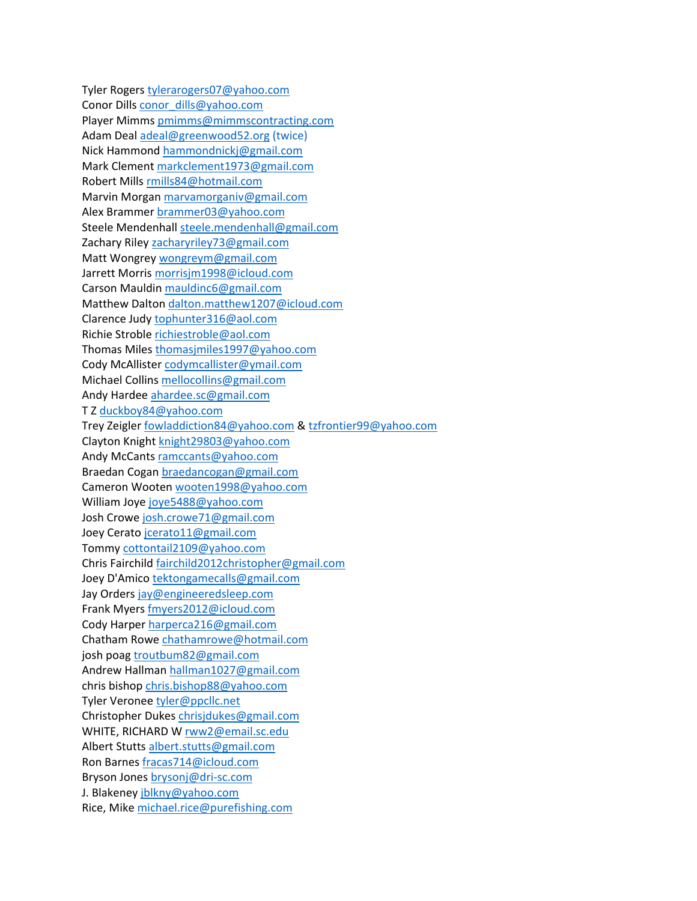Tyler Roger[s tylerarogers07@yahoo.com](mailto:tylerarogers07@yahoo.com) Conor Dill[s conor\\_dills@yahoo.com](mailto:conor_dills@yahoo.com) Player Mimm[s pmimms@mimmscontracting.com](mailto:pmimms@mimmscontracting.com) Adam Deal [adeal@greenwood52.org](mailto:adeal@greenwood52.org) (twice) Nick Hammond [hammondnickj@gmail.com](mailto:hammondnickj@gmail.com) Mark Clement [markclement1973@gmail.com](mailto:markclement1973@gmail.com) Robert Mills [rmills84@hotmail.com](mailto:rmills84@hotmail.com) Marvin Morgan [marvamorganiv@gmail.com](mailto:marvamorganiv@gmail.com) Alex Brammer [brammer03@yahoo.com](mailto:brammer03@yahoo.com) Steele Mendenhall [steele.mendenhall@gmail.com](mailto:steele.mendenhall@gmail.com) Zachary Riley [zacharyriley73@gmail.com](mailto:zacharyriley73@gmail.com) Matt Wongrey [wongreym@gmail.com](mailto:wongreym@gmail.com) Jarrett Morris [morrisjm1998@icloud.com](mailto:morrisjm1998@icloud.com) Carson Mauldin [mauldinc6@gmail.com](mailto:mauldinc6@gmail.com) Matthew Dalton [dalton.matthew1207@icloud.com](mailto:dalton.matthew1207@icloud.com) Clarence Judy [tophunter316@aol.com](mailto:tophunter316@aol.com) Richie Stroble [richiestroble@aol.com](mailto:richiestroble@aol.com) Thomas Mile[s thomasjmiles1997@yahoo.com](mailto:thomasjmiles1997@yahoo.com) Cody McAlliste[r codymcallister@ymail.com](mailto:codymcallister@ymail.com) Michael Collins [mellocollins@gmail.com](mailto:mellocollins@gmail.com) Andy Harde[e ahardee.sc@gmail.com](mailto:ahardee.sc@gmail.com) T Z [duckboy84@yahoo.com](mailto:duckboy84@yahoo.com) Trey Zeigler [fowladdiction84@yahoo.com](mailto:fowladdiction84@yahoo.com) & [tzfrontier99@yahoo.com](mailto:tzfrontier99@yahoo.com) Clayton Knigh[t knight29803@yahoo.com](mailto:knight29803@yahoo.com) Andy McCants [ramccants@yahoo.com](mailto:ramccants@yahoo.com) Braedan Cogan [braedancogan@gmail.com](mailto:braedancogan@gmail.com) Cameron Wooten [wooten1998@yahoo.com](mailto:wooten1998@yahoo.com) William Joy[e joye5488@yahoo.com](mailto:joye5488@yahoo.com) Josh Crowe [josh.crowe71@gmail.com](mailto:josh.crowe71@gmail.com) Joey Cerat[o jcerato11@gmail.com](mailto:jcerato11@gmail.com) Tommy [cottontail2109@yahoo.com](mailto:cottontail2109@yahoo.com) Chris Fairchild [fairchild2012christopher@gmail.com](mailto:fairchild2012christopher@gmail.com) Joey D'Amico [tektongamecalls@gmail.com](mailto:tektongamecalls@gmail.com) Jay Orders [jay@engineeredsleep.com](mailto:jay@engineeredsleep.com) Frank Myers [fmyers2012@icloud.com](mailto:fmyers2012@icloud.com) Cody Harper [harperca216@gmail.com](mailto:harperca216@gmail.com) Chatham Row[e chathamrowe@hotmail.com](mailto:chathamrowe@hotmail.com) josh poa[g troutbum82@gmail.com](mailto:troutbum82@gmail.com) Andrew Hallman [hallman1027@gmail.com](mailto:hallman1027@gmail.com) chris bishop [chris.bishop88@yahoo.com](mailto:chris.bishop88@yahoo.com) Tyler Veronee [tyler@ppcllc.net](mailto:tyler@ppcllc.net) Christopher Dukes [chrisjdukes@gmail.com](mailto:chrisjdukes@gmail.com) WHITE, RICHARD [W rww2@email.sc.edu](mailto:rww2@email.sc.edu) Albert Stutts [albert.stutts@gmail.com](mailto:albert.stutts@gmail.com) Ron Barnes [fracas714@icloud.com](mailto:fracas714@icloud.com) Bryson Jones [brysonj@dri-sc.com](mailto:brysonj@dri-sc.com) J. Blakene[y jblkny@yahoo.com](mailto:jblkny@yahoo.com) Rice, Mik[e michael.rice@purefishing.com](mailto:michael.rice@purefishing.com)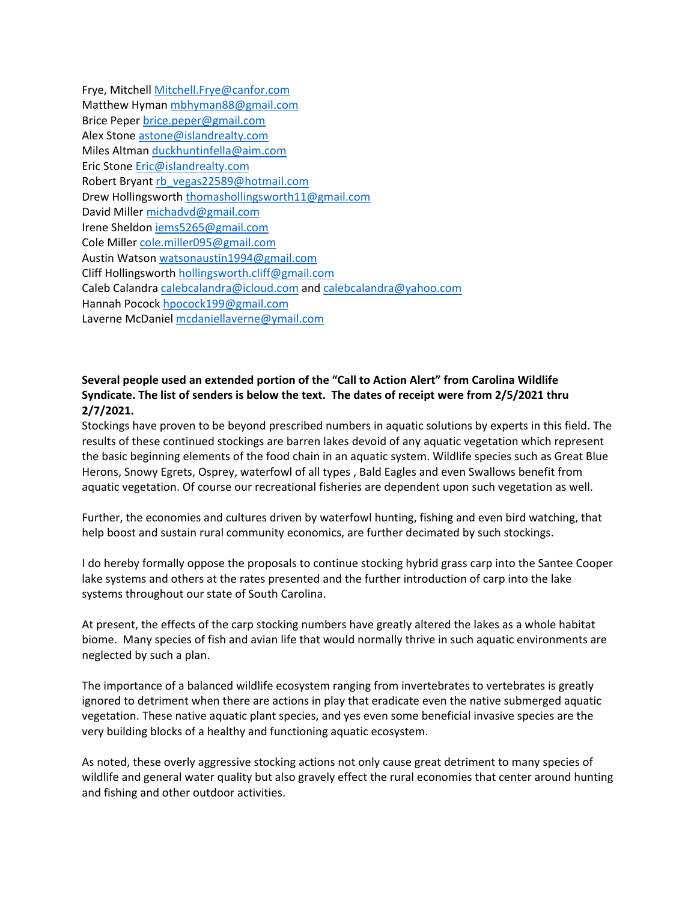| Frye, Mitchell Mitchell.Frye@canfor.com                             |
|---------------------------------------------------------------------|
| Matthew Hyman mbhyman88@gmail.com                                   |
| Brice Peper brice.peper@gmail.com                                   |
| Alex Stone astone@islandrealty.com                                  |
| Miles Altman duckhuntinfella@aim.com                                |
| Eric Stone Eric@islandrealty.com                                    |
| Robert Bryant rb vegas22589@hotmail.com                             |
| Drew Hollingsworth thomashollingsworth11@gmail.com                  |
| David Miller michadvd@gmail.com                                     |
| Irene Sheldon iems5265@gmail.com                                    |
| Cole Miller cole.miller095@gmail.com                                |
| Austin Watson watsonaustin 1994@gmail.com                           |
| Cliff Hollingsworth hollingsworth.cliff@gmail.com                   |
| Caleb Calandra calebcalandra@icloud.com and calebcalandra@yahoo.com |
| Hannah Pocock hpocock199@gmail.com                                  |
| Laverne McDaniel mcdaniellaverne@ymail.com                          |

# **Several people used an extended portion of the "Call to Action Alert" from Carolina Wildlife Syndicate. The list of senders is below the text. The dates of receipt were from 2/5/2021 thru 2/7/2021.**

Stockings have proven to be beyond prescribed numbers in aquatic solutions by experts in this field. The results of these continued stockings are barren lakes devoid of any aquatic vegetation which represent the basic beginning elements of the food chain in an aquatic system. Wildlife species such as Great Blue Herons, Snowy Egrets, Osprey, waterfowl of all types , Bald Eagles and even Swallows benefit from aquatic vegetation. Of course our recreational fisheries are dependent upon such vegetation as well.

Further, the economies and cultures driven by waterfowl hunting, fishing and even bird watching, that help boost and sustain rural community economics, are further decimated by such stockings.

I do hereby formally oppose the proposals to continue stocking hybrid grass carp into the Santee Cooper lake systems and others at the rates presented and the further introduction of carp into the lake systems throughout our state of South Carolina.

At present, the effects of the carp stocking numbers have greatly altered the lakes as a whole habitat biome. Many species of fish and avian life that would normally thrive in such aquatic environments are neglected by such a plan.

The importance of a balanced wildlife ecosystem ranging from invertebrates to vertebrates is greatly ignored to detriment when there are actions in play that eradicate even the native submerged aquatic vegetation. These native aquatic plant species, and yes even some beneficial invasive species are the very building blocks of a healthy and functioning aquatic ecosystem.

As noted, these overly aggressive stocking actions not only cause great detriment to many species of wildlife and general water quality but also gravely effect the rural economies that center around hunting and fishing and other outdoor activities.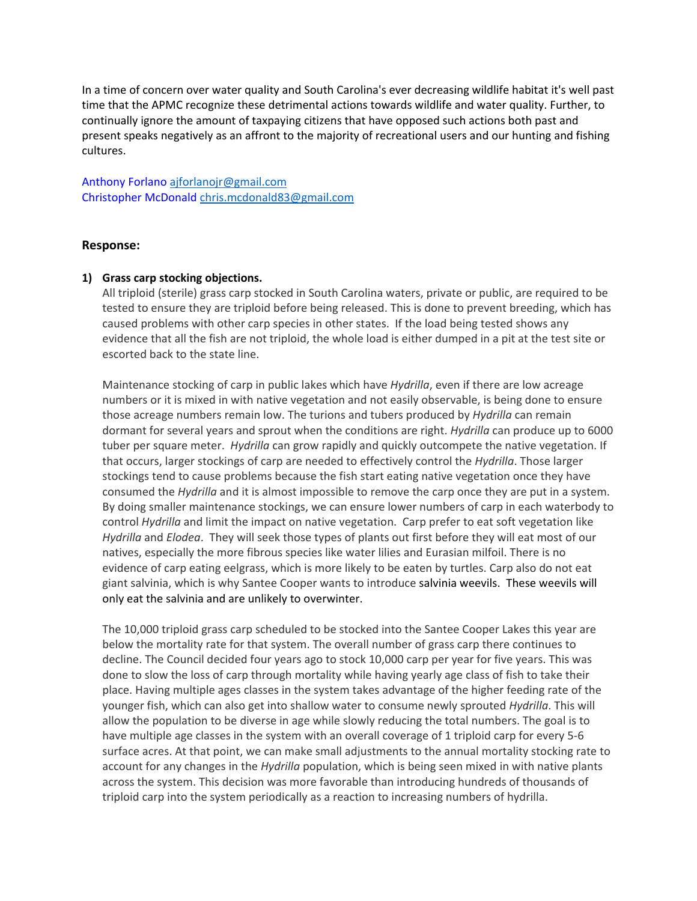In a time of concern over water quality and South Carolina's ever decreasing wildlife habitat it's well past time that the APMC recognize these detrimental actions towards wildlife and water quality. Further, to continually ignore the amount of taxpaying citizens that have opposed such actions both past and present speaks negatively as an affront to the majority of recreational users and our hunting and fishing cultures.

Anthony Forlano [ajforlanojr@gmail.com](mailto:ajforlanojr@gmail.com) Christopher McDonal[d chris.mcdonald83@gmail.com](mailto:chris.mcdonald83@gmail.com)

## **Response:**

## **1) Grass carp stocking objections.**

All triploid (sterile) grass carp stocked in South Carolina waters, private or public, are required to be tested to ensure they are triploid before being released. This is done to prevent breeding, which has caused problems with other carp species in other states. If the load being tested shows any evidence that all the fish are not triploid, the whole load is either dumped in a pit at the test site or escorted back to the state line.

Maintenance stocking of carp in public lakes which have *Hydrilla*, even if there are low acreage numbers or it is mixed in with native vegetation and not easily observable, is being done to ensure those acreage numbers remain low. The turions and tubers produced by *Hydrilla* can remain dormant for several years and sprout when the conditions are right. *Hydrilla* can produce up to 6000 tuber per square meter. *Hydrilla* can grow rapidly and quickly outcompete the native vegetation. If that occurs, larger stockings of carp are needed to effectively control the *Hydrilla*. Those larger stockings tend to cause problems because the fish start eating native vegetation once they have consumed the *Hydrilla* and it is almost impossible to remove the carp once they are put in a system. By doing smaller maintenance stockings, we can ensure lower numbers of carp in each waterbody to control *Hydrilla* and limit the impact on native vegetation. Carp prefer to eat soft vegetation like *Hydrilla* and *Elodea*. They will seek those types of plants out first before they will eat most of our natives, especially the more fibrous species like water lilies and Eurasian milfoil. There is no evidence of carp eating eelgrass, which is more likely to be eaten by turtles. Carp also do not eat giant salvinia, which is why Santee Cooper wants to introduce salvinia weevils. These weevils will only eat the salvinia and are unlikely to overwinter.

The 10,000 triploid grass carp scheduled to be stocked into the Santee Cooper Lakes this year are below the mortality rate for that system. The overall number of grass carp there continues to decline. The Council decided four years ago to stock 10,000 carp per year for five years. This was done to slow the loss of carp through mortality while having yearly age class of fish to take their place. Having multiple ages classes in the system takes advantage of the higher feeding rate of the younger fish, which can also get into shallow water to consume newly sprouted *Hydrilla*. This will allow the population to be diverse in age while slowly reducing the total numbers. The goal is to have multiple age classes in the system with an overall coverage of 1 triploid carp for every 5-6 surface acres. At that point, we can make small adjustments to the annual mortality stocking rate to account for any changes in the *Hydrilla* population, which is being seen mixed in with native plants across the system. This decision was more favorable than introducing hundreds of thousands of triploid carp into the system periodically as a reaction to increasing numbers of hydrilla.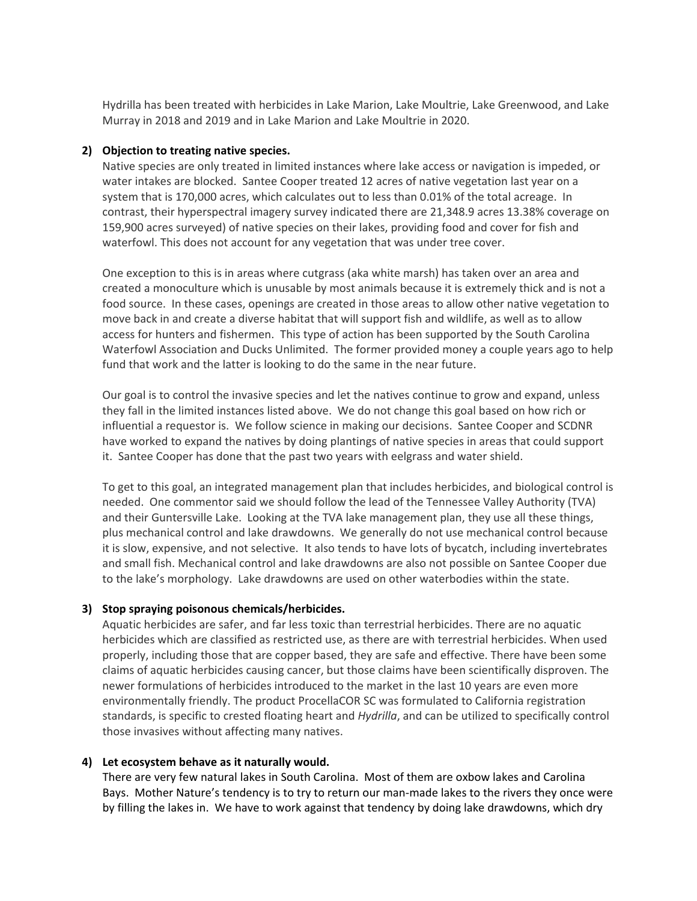Hydrilla has been treated with herbicides in Lake Marion, Lake Moultrie, Lake Greenwood, and Lake Murray in 2018 and 2019 and in Lake Marion and Lake Moultrie in 2020.

### **2) Objection to treating native species.**

Native species are only treated in limited instances where lake access or navigation is impeded, or water intakes are blocked. Santee Cooper treated 12 acres of native vegetation last year on a system that is 170,000 acres, which calculates out to less than 0.01% of the total acreage. In contrast, their hyperspectral imagery survey indicated there are 21,348.9 acres 13.38% coverage on 159,900 acres surveyed) of native species on their lakes, providing food and cover for fish and waterfowl. This does not account for any vegetation that was under tree cover.

One exception to this is in areas where cutgrass (aka white marsh) has taken over an area and created a monoculture which is unusable by most animals because it is extremely thick and is not a food source. In these cases, openings are created in those areas to allow other native vegetation to move back in and create a diverse habitat that will support fish and wildlife, as well as to allow access for hunters and fishermen. This type of action has been supported by the South Carolina Waterfowl Association and Ducks Unlimited. The former provided money a couple years ago to help fund that work and the latter is looking to do the same in the near future.

Our goal is to control the invasive species and let the natives continue to grow and expand, unless they fall in the limited instances listed above. We do not change this goal based on how rich or influential a requestor is. We follow science in making our decisions. Santee Cooper and SCDNR have worked to expand the natives by doing plantings of native species in areas that could support it. Santee Cooper has done that the past two years with eelgrass and water shield.

To get to this goal, an integrated management plan that includes herbicides, and biological control is needed. One commentor said we should follow the lead of the Tennessee Valley Authority (TVA) and their Guntersville Lake. Looking at the TVA lake management plan, they use all these things, plus mechanical control and lake drawdowns. We generally do not use mechanical control because it is slow, expensive, and not selective. It also tends to have lots of bycatch, including invertebrates and small fish. Mechanical control and lake drawdowns are also not possible on Santee Cooper due to the lake's morphology. Lake drawdowns are used on other waterbodies within the state.

## **3) Stop spraying poisonous chemicals/herbicides.**

Aquatic herbicides are safer, and far less toxic than terrestrial herbicides. There are no aquatic herbicides which are classified as restricted use, as there are with terrestrial herbicides. When used properly, including those that are copper based, they are safe and effective. There have been some claims of aquatic herbicides causing cancer, but those claims have been scientifically disproven. The newer formulations of herbicides introduced to the market in the last 10 years are even more environmentally friendly. The product ProcellaCOR SC was formulated to California registration standards, is specific to crested floating heart and *Hydrilla*, and can be utilized to specifically control those invasives without affecting many natives.

## **4) Let ecosystem behave as it naturally would.**

There are very few natural lakes in South Carolina. Most of them are oxbow lakes and Carolina Bays. Mother Nature's tendency is to try to return our man-made lakes to the rivers they once were by filling the lakes in. We have to work against that tendency by doing lake drawdowns, which dry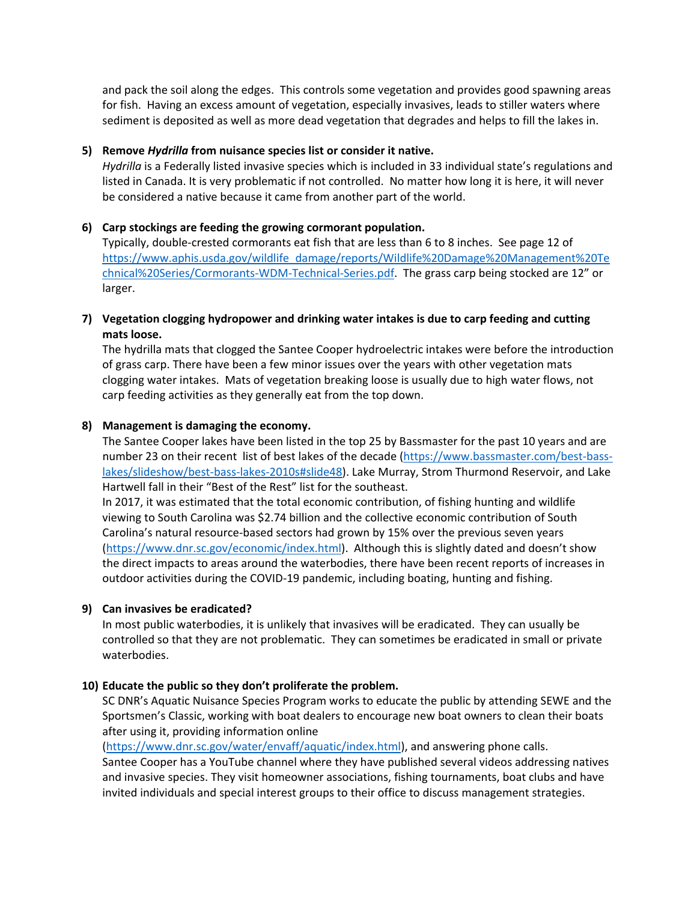and pack the soil along the edges. This controls some vegetation and provides good spawning areas for fish. Having an excess amount of vegetation, especially invasives, leads to stiller waters where sediment is deposited as well as more dead vegetation that degrades and helps to fill the lakes in.

## **5) Remove** *Hydrilla* **from nuisance species list or consider it native.**

*Hydrilla* is a Federally listed invasive species which is included in 33 individual state's regulations and listed in Canada. It is very problematic if not controlled. No matter how long it is here, it will never be considered a native because it came from another part of the world.

## **6) Carp stockings are feeding the growing cormorant population.**

Typically, double-crested cormorants eat fish that are less than 6 to 8 inches. See page 12 of [https://www.aphis.usda.gov/wildlife\\_damage/reports/Wildlife%20Damage%20Management%20Te](https://www.aphis.usda.gov/wildlife_damage/reports/Wildlife%20Damage%20Management%20Technical%20Series/Cormorants-WDM-Technical-Series.pdf) [chnical%20Series/Cormorants-WDM-Technical-Series.pdf.](https://www.aphis.usda.gov/wildlife_damage/reports/Wildlife%20Damage%20Management%20Technical%20Series/Cormorants-WDM-Technical-Series.pdf) The grass carp being stocked are 12" or larger.

# **7) Vegetation clogging hydropower and drinking water intakes is due to carp feeding and cutting mats loose.**

The hydrilla mats that clogged the Santee Cooper hydroelectric intakes were before the introduction of grass carp. There have been a few minor issues over the years with other vegetation mats clogging water intakes. Mats of vegetation breaking loose is usually due to high water flows, not carp feeding activities as they generally eat from the top down.

## **8) Management is damaging the economy.**

The Santee Cooper lakes have been listed in the top 25 by Bassmaster for the past 10 years and are number 23 on their recent list of best lakes of the decade [\(https://www.bassmaster.com/best-bass](https://www.bassmaster.com/best-bass-lakes/slideshow/best-bass-lakes-2010s#slide48)[lakes/slideshow/best-bass-lakes-2010s#slide48\)](https://www.bassmaster.com/best-bass-lakes/slideshow/best-bass-lakes-2010s#slide48). Lake Murray, Strom Thurmond Reservoir, and Lake Hartwell fall in their "Best of the Rest" list for the southeast.

In 2017, it was estimated that the total economic contribution, of fishing hunting and wildlife viewing to South Carolina was \$2.74 billion and the collective economic contribution of South Carolina's natural resource-based sectors had grown by 15% over the previous seven years [\(https://www.dnr.sc.gov/economic/index.html\)](https://www.dnr.sc.gov/economic/index.html). Although this is slightly dated and doesn't show the direct impacts to areas around the waterbodies, there have been recent reports of increases in outdoor activities during the COVID-19 pandemic, including boating, hunting and fishing.

### **9) Can invasives be eradicated?**

In most public waterbodies, it is unlikely that invasives will be eradicated. They can usually be controlled so that they are not problematic. They can sometimes be eradicated in small or private waterbodies.

## **10) Educate the public so they don't proliferate the problem.**

SC DNR's Aquatic Nuisance Species Program works to educate the public by attending SEWE and the Sportsmen's Classic, working with boat dealers to encourage new boat owners to clean their boats after using it, providing information online

[\(https://www.dnr.sc.gov/water/envaff/aquatic/index.html\)](https://www.dnr.sc.gov/water/envaff/aquatic/index.html), and answering phone calls. Santee Cooper has a YouTube channel where they have published several videos addressing natives and invasive species. They visit homeowner associations, fishing tournaments, boat clubs and have invited individuals and special interest groups to their office to discuss management strategies.